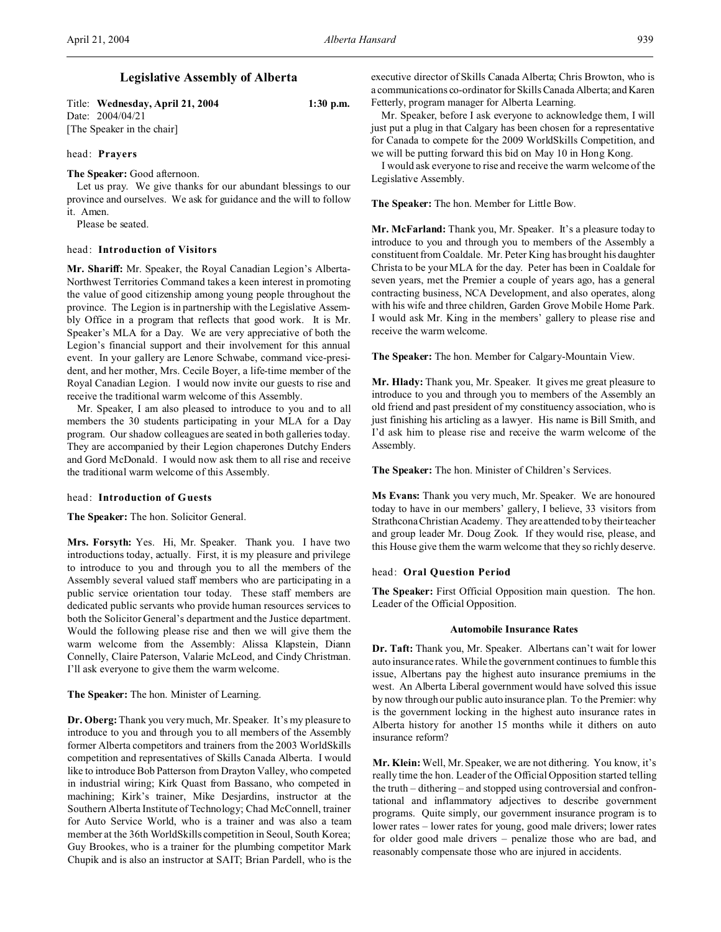# **Legislative Assembly of Alberta**

| Title: Wednesday, April 21, 2004 | $1:30$ p.m. |
|----------------------------------|-------------|
| Date: 2004/04/21                 |             |
| [The Speaker in the chair]       |             |

# head: **Prayers**

# **The Speaker:** Good afternoon.

Let us pray. We give thanks for our abundant blessings to our province and ourselves. We ask for guidance and the will to follow it. Amen.

Please be seated.

# head: **Introduction of Visitors**

**Mr. Shariff:** Mr. Speaker, the Royal Canadian Legion's Alberta-Northwest Territories Command takes a keen interest in promoting the value of good citizenship among young people throughout the province. The Legion is in partnership with the Legislative Assembly Office in a program that reflects that good work. It is Mr. Speaker's MLA for a Day. We are very appreciative of both the Legion's financial support and their involvement for this annual event. In your gallery are Lenore Schwabe, command vice-president, and her mother, Mrs. Cecile Boyer, a life-time member of the Royal Canadian Legion. I would now invite our guests to rise and receive the traditional warm welcome of this Assembly.

Mr. Speaker, I am also pleased to introduce to you and to all members the 30 students participating in your MLA for a Day program. Our shadow colleagues are seated in both galleries today. They are accompanied by their Legion chaperones Dutchy Enders and Gord McDonald. I would now ask them to all rise and receive the traditional warm welcome of this Assembly.

#### head: **Introduction of Guests**

**The Speaker:** The hon. Solicitor General.

**Mrs. Forsyth:** Yes. Hi, Mr. Speaker. Thank you. I have two introductions today, actually. First, it is my pleasure and privilege to introduce to you and through you to all the members of the Assembly several valued staff members who are participating in a public service orientation tour today. These staff members are dedicated public servants who provide human resources services to both the Solicitor General's department and the Justice department. Would the following please rise and then we will give them the warm welcome from the Assembly: Alissa Klapstein, Diann Connelly, Claire Paterson, Valarie McLeod, and Cindy Christman. I'll ask everyone to give them the warm welcome.

**The Speaker:** The hon. Minister of Learning.

**Dr. Oberg:**Thank you very much, Mr. Speaker. It's my pleasure to introduce to you and through you to all members of the Assembly former Alberta competitors and trainers from the 2003 WorldSkills competition and representatives of Skills Canada Alberta. I would like to introduce Bob Patterson from Drayton Valley, who competed in industrial wiring; Kirk Quast from Bassano, who competed in machining; Kirk's trainer, Mike Desjardins, instructor at the Southern Alberta Institute of Technology; Chad McConnell, trainer for Auto Service World, who is a trainer and was also a team member at the 36th WorldSkills competition in Seoul, South Korea; Guy Brookes, who is a trainer for the plumbing competitor Mark Chupik and is also an instructor at SAIT; Brian Pardell, who is the

executive director of Skills Canada Alberta; Chris Browton, who is a communications co-ordinator for Skills Canada Alberta; and Karen Fetterly, program manager for Alberta Learning.

Mr. Speaker, before I ask everyone to acknowledge them, I will just put a plug in that Calgary has been chosen for a representative for Canada to compete for the 2009 WorldSkills Competition, and we will be putting forward this bid on May 10 in Hong Kong.

I would ask everyone to rise and receive the warm welcome of the Legislative Assembly.

**The Speaker:** The hon. Member for Little Bow.

**Mr. McFarland:** Thank you, Mr. Speaker. It's a pleasure today to introduce to you and through you to members of the Assembly a constituent from Coaldale. Mr. Peter King has brought his daughter Christa to be your MLA for the day. Peter has been in Coaldale for seven years, met the Premier a couple of years ago, has a general contracting business, NCA Development, and also operates, along with his wife and three children, Garden Grove Mobile Home Park. I would ask Mr. King in the members' gallery to please rise and receive the warm welcome.

**The Speaker:** The hon. Member for Calgary-Mountain View.

**Mr. Hlady:** Thank you, Mr. Speaker. It gives me great pleasure to introduce to you and through you to members of the Assembly an old friend and past president of my constituency association, who is just finishing his articling as a lawyer. His name is Bill Smith, and I'd ask him to please rise and receive the warm welcome of the Assembly.

**The Speaker:** The hon. Minister of Children's Services.

**Ms Evans:** Thank you very much, Mr. Speaker. We are honoured today to have in our members' gallery, I believe, 33 visitors from Strathcona Christian Academy. They are attended to by their teacher and group leader Mr. Doug Zook. If they would rise, please, and this House give them the warm welcome that they so richly deserve.

#### head: **Oral Question Period**

**The Speaker:** First Official Opposition main question. The hon. Leader of the Official Opposition.

#### **Automobile Insurance Rates**

**Dr. Taft:** Thank you, Mr. Speaker. Albertans can't wait for lower auto insurance rates. While the government continues to fumble this issue, Albertans pay the highest auto insurance premiums in the west. An Alberta Liberal government would have solved this issue by now through our public auto insurance plan. To the Premier: why is the government locking in the highest auto insurance rates in Alberta history for another 15 months while it dithers on auto insurance reform?

**Mr. Klein:** Well, Mr. Speaker, we are not dithering. You know, it's really time the hon. Leader of the Official Opposition started telling the truth – dithering – and stopped using controversial and confrontational and inflammatory adjectives to describe government programs. Quite simply, our government insurance program is to lower rates – lower rates for young, good male drivers; lower rates for older good male drivers – penalize those who are bad, and reasonably compensate those who are injured in accidents.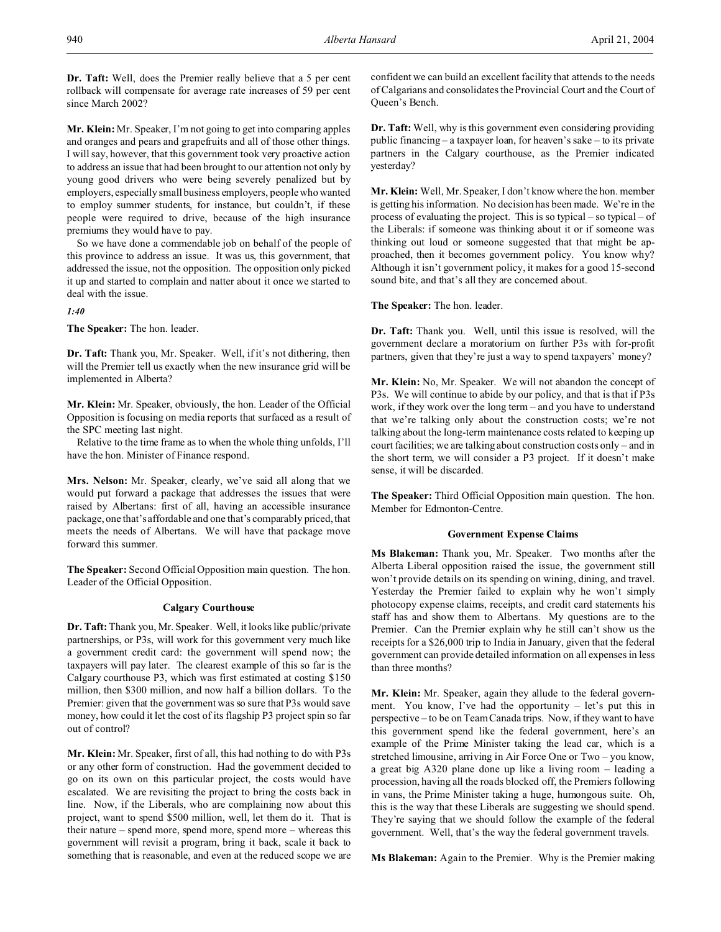**Dr. Taft:** Well, does the Premier really believe that a 5 per cent rollback will compensate for average rate increases of 59 per cent since March 2002?

**Mr. Klein:** Mr. Speaker, I'm not going to get into comparing apples and oranges and pears and grapefruits and all of those other things. I will say, however, that this government took very proactive action to address an issue that had been brought to our attention not only by young good drivers who were being severely penalized but by employers, especially small business employers, people who wanted to employ summer students, for instance, but couldn't, if these people were required to drive, because of the high insurance premiums they would have to pay.

So we have done a commendable job on behalf of the people of this province to address an issue. It was us, this government, that addressed the issue, not the opposition. The opposition only picked it up and started to complain and natter about it once we started to deal with the issue.

# *1:40*

**The Speaker:** The hon. leader.

**Dr. Taft:** Thank you, Mr. Speaker. Well, if it's not dithering, then will the Premier tell us exactly when the new insurance grid will be implemented in Alberta?

**Mr. Klein:** Mr. Speaker, obviously, the hon. Leader of the Official Opposition is focusing on media reports that surfaced as a result of the SPC meeting last night.

Relative to the time frame as to when the whole thing unfolds, I'll have the hon. Minister of Finance respond.

**Mrs. Nelson:** Mr. Speaker, clearly, we've said all along that we would put forward a package that addresses the issues that were raised by Albertans: first of all, having an accessible insurance package, one that's affordable and one that's comparably priced, that meets the needs of Albertans. We will have that package move forward this summer.

**The Speaker:** Second Official Opposition main question. The hon. Leader of the Official Opposition.

# **Calgary Courthouse**

**Dr. Taft:** Thank you, Mr. Speaker. Well, it looks like public/private partnerships, or P3s, will work for this government very much like a government credit card: the government will spend now; the taxpayers will pay later. The clearest example of this so far is the Calgary courthouse P3, which was first estimated at costing \$150 million, then \$300 million, and now half a billion dollars. To the Premier: given that the government was so sure that P3s would save money, how could it let the cost of its flagship P3 project spin so far out of control?

**Mr. Klein:** Mr. Speaker, first of all, this had nothing to do with P3s or any other form of construction. Had the government decided to go on its own on this particular project, the costs would have escalated. We are revisiting the project to bring the costs back in line. Now, if the Liberals, who are complaining now about this project, want to spend \$500 million, well, let them do it. That is their nature – spend more, spend more, spend more – whereas this government will revisit a program, bring it back, scale it back to something that is reasonable, and even at the reduced scope we are confident we can build an excellent facility that attends to the needs of Calgarians and consolidates the Provincial Court and the Court of Queen's Bench.

**Dr. Taft:** Well, why is this government even considering providing public financing – a taxpayer loan, for heaven's sake – to its private partners in the Calgary courthouse, as the Premier indicated yesterday?

**Mr. Klein:** Well, Mr. Speaker, I don't know where the hon. member is getting his information. No decision has been made. We're in the process of evaluating the project. This is so typical – so typical – of the Liberals: if someone was thinking about it or if someone was thinking out loud or someone suggested that that might be approached, then it becomes government policy. You know why? Although it isn't government policy, it makes for a good 15-second sound bite, and that's all they are concerned about.

# **The Speaker:** The hon. leader.

**Dr. Taft:** Thank you. Well, until this issue is resolved, will the government declare a moratorium on further P3s with for-profit partners, given that they're just a way to spend taxpayers' money?

**Mr. Klein:** No, Mr. Speaker. We will not abandon the concept of P3s. We will continue to abide by our policy, and that is that if P3s work, if they work over the long term – and you have to understand that we're talking only about the construction costs; we're not talking about the long-term maintenance costs related to keeping up court facilities; we are talking about construction costs only – and in the short term, we will consider a P3 project. If it doesn't make sense, it will be discarded.

**The Speaker:** Third Official Opposition main question. The hon. Member for Edmonton-Centre.

#### **Government Expense Claims**

**Ms Blakeman:** Thank you, Mr. Speaker. Two months after the Alberta Liberal opposition raised the issue, the government still won't provide details on its spending on wining, dining, and travel. Yesterday the Premier failed to explain why he won't simply photocopy expense claims, receipts, and credit card statements his staff has and show them to Albertans. My questions are to the Premier. Can the Premier explain why he still can't show us the receipts for a \$26,000 trip to India in January, given that the federal government can provide detailed information on all expenses in less than three months?

**Mr. Klein:** Mr. Speaker, again they allude to the federal government. You know, I've had the opportunity – let's put this in perspective – to be on Team Canada trips. Now, if they want to have this government spend like the federal government, here's an example of the Prime Minister taking the lead car, which is a stretched limousine, arriving in Air Force One or Two – you know, a great big A320 plane done up like a living room – leading a procession, having all the roads blocked off, the Premiers following in vans, the Prime Minister taking a huge, humongous suite. Oh, this is the way that these Liberals are suggesting we should spend. They're saying that we should follow the example of the federal government. Well, that's the way the federal government travels.

**Ms Blakeman:** Again to the Premier. Why is the Premier making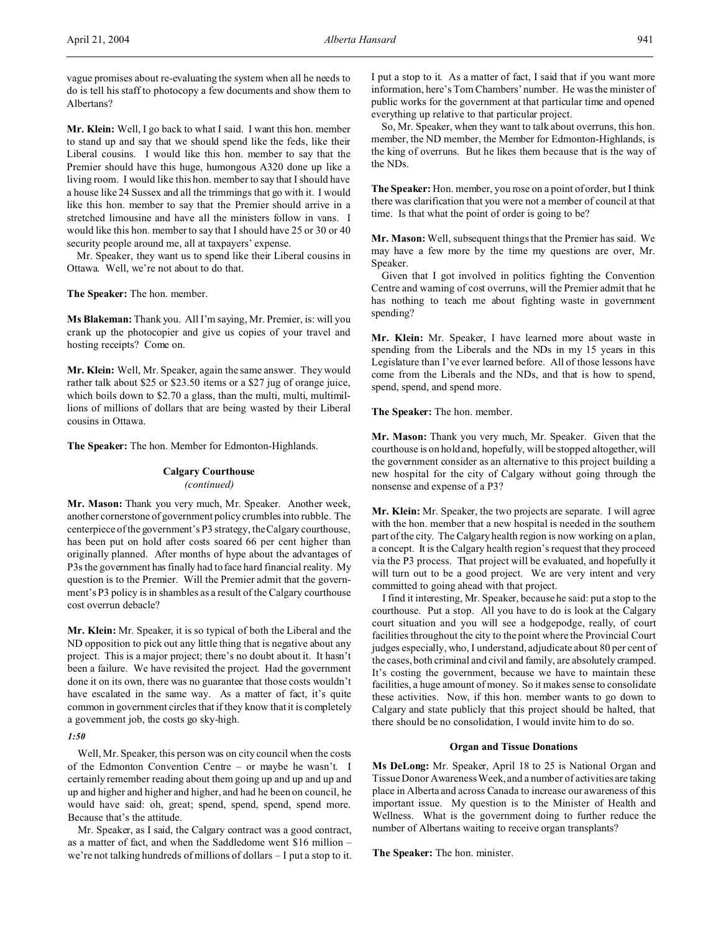vague promises about re-evaluating the system when all he needs to do is tell his staff to photocopy a few documents and show them to Albertans?

**Mr. Klein:** Well, I go back to what I said. I want this hon. member to stand up and say that we should spend like the feds, like their Liberal cousins. I would like this hon. member to say that the Premier should have this huge, humongous A320 done up like a living room. I would like this hon. member to say that I should have a house like 24 Sussex and all the trimmings that go with it. I would like this hon. member to say that the Premier should arrive in a stretched limousine and have all the ministers follow in vans. I would like this hon. member to say that I should have 25 or 30 or 40 security people around me, all at taxpayers' expense.

Mr. Speaker, they want us to spend like their Liberal cousins in Ottawa. Well, we're not about to do that.

**The Speaker:** The hon. member.

**Ms Blakeman:** Thank you. All I'm saying, Mr. Premier, is: will you crank up the photocopier and give us copies of your travel and hosting receipts? Come on.

**Mr. Klein:** Well, Mr. Speaker, again the same answer. They would rather talk about \$25 or \$23.50 items or a \$27 jug of orange juice, which boils down to \$2.70 a glass, than the multi, multi, multimillions of millions of dollars that are being wasted by their Liberal cousins in Ottawa.

**The Speaker:** The hon. Member for Edmonton-Highlands.

# **Calgary Courthouse**

# *(continued)*

**Mr. Mason:** Thank you very much, Mr. Speaker. Another week, another cornerstone of government policy crumbles into rubble. The centerpiece of the government's P3 strategy, the Calgary courthouse, has been put on hold after costs soared 66 per cent higher than originally planned. After months of hype about the advantages of P3s the government has finally had to face hard financial reality. My question is to the Premier. Will the Premier admit that the government's P3 policy is in shambles as a result of the Calgary courthouse cost overrun debacle?

**Mr. Klein:** Mr. Speaker, it is so typical of both the Liberal and the ND opposition to pick out any little thing that is negative about any project. This is a major project; there's no doubt about it. It hasn't been a failure. We have revisited the project. Had the government done it on its own, there was no guarantee that those costs wouldn't have escalated in the same way. As a matter of fact, it's quite common in government circles that if they know that it is completely a government job, the costs go sky-high.

*1:50*

Well, Mr. Speaker, this person was on city council when the costs of the Edmonton Convention Centre – or maybe he wasn't. I certainly remember reading about them going up and up and up and up and higher and higher and higher, and had he been on council, he would have said: oh, great; spend, spend, spend, spend more. Because that's the attitude.

Mr. Speaker, as I said, the Calgary contract was a good contract, as a matter of fact, and when the Saddledome went \$16 million – we're not talking hundreds of millions of dollars – I put a stop to it. I put a stop to it. As a matter of fact, I said that if you want more information, here's Tom Chambers' number. He was the minister of public works for the government at that particular time and opened everything up relative to that particular project.

So, Mr. Speaker, when they want to talk about overruns, this hon. member, the ND member, the Member for Edmonton-Highlands, is the king of overruns. But he likes them because that is the way of the NDs.

**The Speaker:** Hon. member, you rose on a point of order, but I think there was clarification that you were not a member of council at that time. Is that what the point of order is going to be?

**Mr. Mason:** Well, subsequent things that the Premier has said. We may have a few more by the time my questions are over, Mr. Speaker.

Given that I got involved in politics fighting the Convention Centre and warning of cost overruns, will the Premier admit that he has nothing to teach me about fighting waste in government spending?

**Mr. Klein:** Mr. Speaker, I have learned more about waste in spending from the Liberals and the NDs in my 15 years in this Legislature than I've ever learned before. All of those lessons have come from the Liberals and the NDs, and that is how to spend, spend, spend, and spend more.

**The Speaker:** The hon. member.

**Mr. Mason:** Thank you very much, Mr. Speaker. Given that the courthouse is on hold and, hopefully, will be stopped altogether, will the government consider as an alternative to this project building a new hospital for the city of Calgary without going through the nonsense and expense of a P3?

**Mr. Klein:** Mr. Speaker, the two projects are separate. I will agree with the hon. member that a new hospital is needed in the southern part of the city. The Calgary health region is now working on a plan, a concept. It is the Calgary health region's request that they proceed via the P3 process. That project will be evaluated, and hopefully it will turn out to be a good project. We are very intent and very committed to going ahead with that project.

I find it interesting, Mr. Speaker, because he said: put a stop to the courthouse. Put a stop. All you have to do is look at the Calgary court situation and you will see a hodgepodge, really, of court facilities throughout the city to the point where the Provincial Court judges especially, who, I understand, adjudicate about 80 per cent of the cases, both criminal and civil and family, are absolutely cramped. It's costing the government, because we have to maintain these facilities, a huge amount of money. So it makes sense to consolidate these activities. Now, if this hon. member wants to go down to Calgary and state publicly that this project should be halted, that there should be no consolidation, I would invite him to do so.

#### **Organ and Tissue Donations**

**Ms DeLong:** Mr. Speaker, April 18 to 25 is National Organ and Tissue Donor Awareness Week, and a number of activities are taking place in Alberta and across Canada to increase our awareness of this important issue. My question is to the Minister of Health and Wellness. What is the government doing to further reduce the number of Albertans waiting to receive organ transplants?

**The Speaker:** The hon. minister.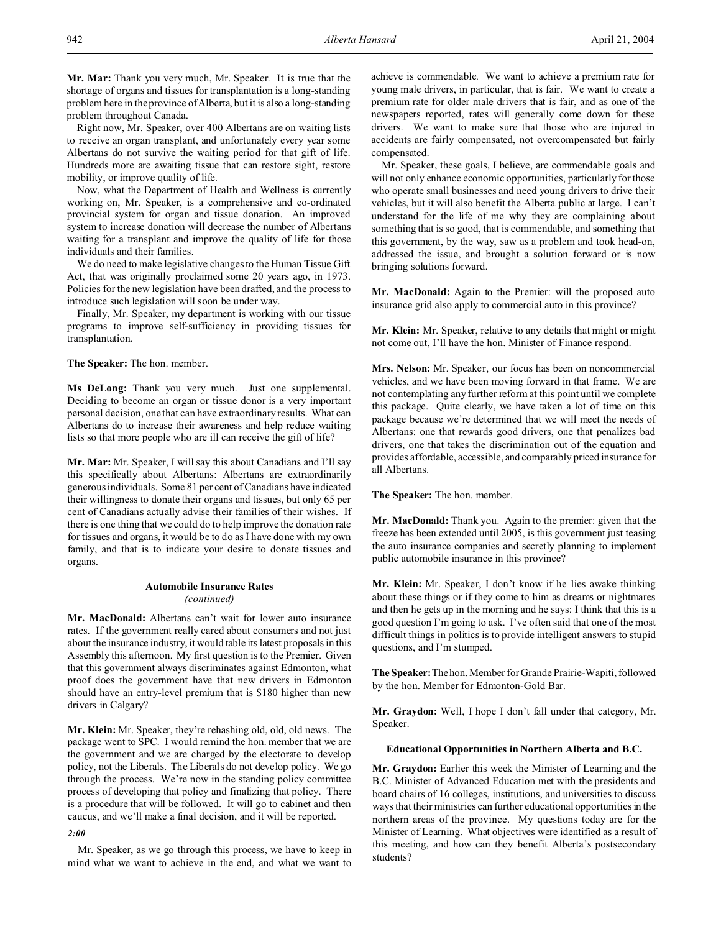**Mr. Mar:** Thank you very much, Mr. Speaker. It is true that the shortage of organs and tissues for transplantation is a long-standing problem here in the province of Alberta, but it is also a long-standing problem throughout Canada.

Right now, Mr. Speaker, over 400 Albertans are on waiting lists to receive an organ transplant, and unfortunately every year some Albertans do not survive the waiting period for that gift of life. Hundreds more are awaiting tissue that can restore sight, restore mobility, or improve quality of life.

Now, what the Department of Health and Wellness is currently working on, Mr. Speaker, is a comprehensive and co-ordinated provincial system for organ and tissue donation. An improved system to increase donation will decrease the number of Albertans waiting for a transplant and improve the quality of life for those individuals and their families.

We do need to make legislative changes to the Human Tissue Gift Act, that was originally proclaimed some 20 years ago, in 1973. Policies for the new legislation have been drafted, and the process to introduce such legislation will soon be under way.

Finally, Mr. Speaker, my department is working with our tissue programs to improve self-sufficiency in providing tissues for transplantation.

**The Speaker:** The hon. member.

**Ms DeLong:** Thank you very much. Just one supplemental. Deciding to become an organ or tissue donor is a very important personal decision, one that can have extraordinary results. What can Albertans do to increase their awareness and help reduce waiting lists so that more people who are ill can receive the gift of life?

**Mr. Mar:** Mr. Speaker, I will say this about Canadians and I'll say this specifically about Albertans: Albertans are extraordinarily generous individuals. Some 81 per cent of Canadians have indicated their willingness to donate their organs and tissues, but only 65 per cent of Canadians actually advise their families of their wishes. If there is one thing that we could do to help improve the donation rate for tissues and organs, it would be to do as I have done with my own family, and that is to indicate your desire to donate tissues and organs.

# **Automobile Insurance Rates** *(continued)*

**Mr. MacDonald:** Albertans can't wait for lower auto insurance rates. If the government really cared about consumers and not just about the insurance industry, it would table its latest proposals in this Assembly this afternoon. My first question is to the Premier. Given that this government always discriminates against Edmonton, what proof does the government have that new drivers in Edmonton should have an entry-level premium that is \$180 higher than new drivers in Calgary?

**Mr. Klein:** Mr. Speaker, they're rehashing old, old, old news. The package went to SPC. I would remind the hon. member that we are the government and we are charged by the electorate to develop policy, not the Liberals. The Liberals do not develop policy. We go through the process. We're now in the standing policy committee process of developing that policy and finalizing that policy. There is a procedure that will be followed. It will go to cabinet and then caucus, and we'll make a final decision, and it will be reported.

*2:00*

Mr. Speaker, as we go through this process, we have to keep in mind what we want to achieve in the end, and what we want to achieve is commendable. We want to achieve a premium rate for young male drivers, in particular, that is fair. We want to create a premium rate for older male drivers that is fair, and as one of the newspapers reported, rates will generally come down for these drivers. We want to make sure that those who are injured in accidents are fairly compensated, not overcompensated but fairly compensated.

Mr. Speaker, these goals, I believe, are commendable goals and will not only enhance economic opportunities, particularly for those who operate small businesses and need young drivers to drive their vehicles, but it will also benefit the Alberta public at large. I can't understand for the life of me why they are complaining about something that is so good, that is commendable, and something that this government, by the way, saw as a problem and took head-on, addressed the issue, and brought a solution forward or is now bringing solutions forward.

**Mr. MacDonald:** Again to the Premier: will the proposed auto insurance grid also apply to commercial auto in this province?

**Mr. Klein:** Mr. Speaker, relative to any details that might or might not come out, I'll have the hon. Minister of Finance respond.

**Mrs. Nelson:** Mr. Speaker, our focus has been on noncommercial vehicles, and we have been moving forward in that frame. We are not contemplating any further reform at this point until we complete this package. Quite clearly, we have taken a lot of time on this package because we're determined that we will meet the needs of Albertans: one that rewards good drivers, one that penalizes bad drivers, one that takes the discrimination out of the equation and provides affordable, accessible, and comparably priced insurance for all Albertans.

**The Speaker:** The hon. member.

**Mr. MacDonald:** Thank you. Again to the premier: given that the freeze has been extended until 2005, is this government just teasing the auto insurance companies and secretly planning to implement public automobile insurance in this province?

**Mr. Klein:** Mr. Speaker, I don't know if he lies awake thinking about these things or if they come to him as dreams or nightmares and then he gets up in the morning and he says: I think that this is a good question I'm going to ask. I've often said that one of the most difficult things in politics is to provide intelligent answers to stupid questions, and I'm stumped.

**The Speaker:**Thehon. Member for Grande Prairie-Wapiti, followed by the hon. Member for Edmonton-Gold Bar.

**Mr. Graydon:** Well, I hope I don't fall under that category, Mr. Speaker.

### **Educational Opportunities in Northern Alberta and B.C.**

**Mr. Graydon:** Earlier this week the Minister of Learning and the B.C. Minister of Advanced Education met with the presidents and board chairs of 16 colleges, institutions, and universities to discuss ways that their ministries can further educational opportunities in the northern areas of the province. My questions today are for the Minister of Learning. What objectives were identified as a result of this meeting, and how can they benefit Alberta's postsecondary students?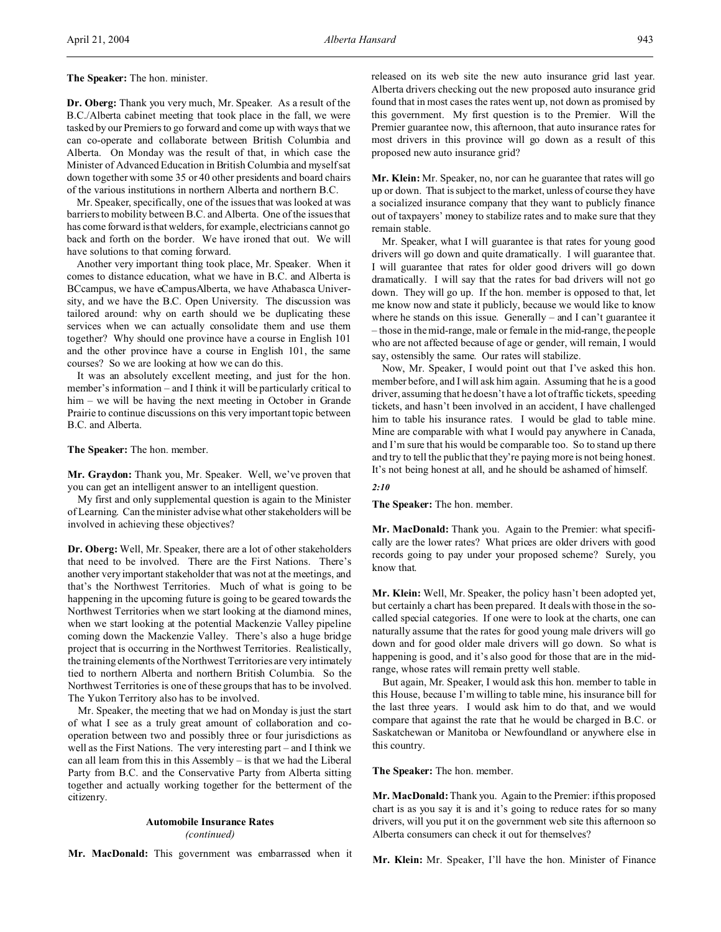**The Speaker:** The hon. minister.

**Dr. Oberg:** Thank you very much, Mr. Speaker. As a result of the B.C./Alberta cabinet meeting that took place in the fall, we were tasked by our Premiers to go forward and come up with ways that we can co-operate and collaborate between British Columbia and Alberta. On Monday was the result of that, in which case the Minister of Advanced Education in British Columbia and myself sat down together with some 35 or 40 other presidents and board chairs of the various institutions in northern Alberta and northern B.C.

Mr. Speaker, specifically, one of the issues that was looked at was barriers to mobility between B.C. and Alberta. One of the issues that has come forward is that welders, for example, electricians cannot go back and forth on the border. We have ironed that out. We will have solutions to that coming forward.

Another very important thing took place, Mr. Speaker. When it comes to distance education, what we have in B.C. and Alberta is BCcampus, we have eCampusAlberta, we have Athabasca University, and we have the B.C. Open University. The discussion was tailored around: why on earth should we be duplicating these services when we can actually consolidate them and use them together? Why should one province have a course in English 101 and the other province have a course in English 101, the same courses? So we are looking at how we can do this.

It was an absolutely excellent meeting, and just for the hon. member's information – and I think it will be particularly critical to him – we will be having the next meeting in October in Grande Prairie to continue discussions on this very important topic between B.C. and Alberta.

**The Speaker:** The hon. member.

**Mr. Graydon:** Thank you, Mr. Speaker. Well, we've proven that you can get an intelligent answer to an intelligent question.

My first and only supplemental question is again to the Minister of Learning. Can the minister advise what other stakeholders will be involved in achieving these objectives?

**Dr. Oberg:** Well, Mr. Speaker, there are a lot of other stakeholders that need to be involved. There are the First Nations. There's another very important stakeholder that was not at the meetings, and that's the Northwest Territories. Much of what is going to be happening in the upcoming future is going to be geared towards the Northwest Territories when we start looking at the diamond mines, when we start looking at the potential Mackenzie Valley pipeline coming down the Mackenzie Valley. There's also a huge bridge project that is occurring in the Northwest Territories. Realistically, the training elements of the Northwest Territories are very intimately tied to northern Alberta and northern British Columbia. So the Northwest Territories is one of these groups that has to be involved. The Yukon Territory also has to be involved.

Mr. Speaker, the meeting that we had on Monday is just the start of what I see as a truly great amount of collaboration and cooperation between two and possibly three or four jurisdictions as well as the First Nations. The very interesting part – and I think we can all learn from this in this Assembly – is that we had the Liberal Party from B.C. and the Conservative Party from Alberta sitting together and actually working together for the betterment of the citizenry.

# **Automobile Insurance Rates** *(continued)*

**Mr. MacDonald:** This government was embarrassed when it

released on its web site the new auto insurance grid last year. Alberta drivers checking out the new proposed auto insurance grid found that in most cases the rates went up, not down as promised by this government. My first question is to the Premier. Will the Premier guarantee now, this afternoon, that auto insurance rates for most drivers in this province will go down as a result of this proposed new auto insurance grid?

**Mr. Klein:** Mr. Speaker, no, nor can he guarantee that rates will go up or down. That is subject to the market, unless of course they have a socialized insurance company that they want to publicly finance out of taxpayers' money to stabilize rates and to make sure that they remain stable.

Mr. Speaker, what I will guarantee is that rates for young good drivers will go down and quite dramatically. I will guarantee that. I will guarantee that rates for older good drivers will go down dramatically. I will say that the rates for bad drivers will not go down. They will go up. If the hon. member is opposed to that, let me know now and state it publicly, because we would like to know where he stands on this issue. Generally – and I can't guarantee it – those in the mid-range, male or female in the mid-range, the people who are not affected because of age or gender, will remain, I would say, ostensibly the same. Our rates will stabilize.

Now, Mr. Speaker, I would point out that I've asked this hon. member before, and I will ask him again. Assuming that he is a good driver, assuming that he doesn't have a lot of traffic tickets, speeding tickets, and hasn't been involved in an accident, I have challenged him to table his insurance rates. I would be glad to table mine. Mine are comparable with what I would pay anywhere in Canada, and I'm sure that his would be comparable too. So to stand up there and try to tell the public that they're paying more is not being honest. It's not being honest at all, and he should be ashamed of himself.

# *2:10*

**The Speaker:** The hon. member.

**Mr. MacDonald:** Thank you. Again to the Premier: what specifically are the lower rates? What prices are older drivers with good records going to pay under your proposed scheme? Surely, you know that.

**Mr. Klein:** Well, Mr. Speaker, the policy hasn't been adopted yet, but certainly a chart has been prepared. It deals with those in the socalled special categories. If one were to look at the charts, one can naturally assume that the rates for good young male drivers will go down and for good older male drivers will go down. So what is happening is good, and it's also good for those that are in the midrange, whose rates will remain pretty well stable.

But again, Mr. Speaker, I would ask this hon. member to table in this House, because I'm willing to table mine, his insurance bill for the last three years. I would ask him to do that, and we would compare that against the rate that he would be charged in B.C. or Saskatchewan or Manitoba or Newfoundland or anywhere else in this country.

**The Speaker:** The hon. member.

**Mr. MacDonald:** Thank you. Again to the Premier: if this proposed chart is as you say it is and it's going to reduce rates for so many drivers, will you put it on the government web site this afternoon so Alberta consumers can check it out for themselves?

**Mr. Klein:** Mr. Speaker, I'll have the hon. Minister of Finance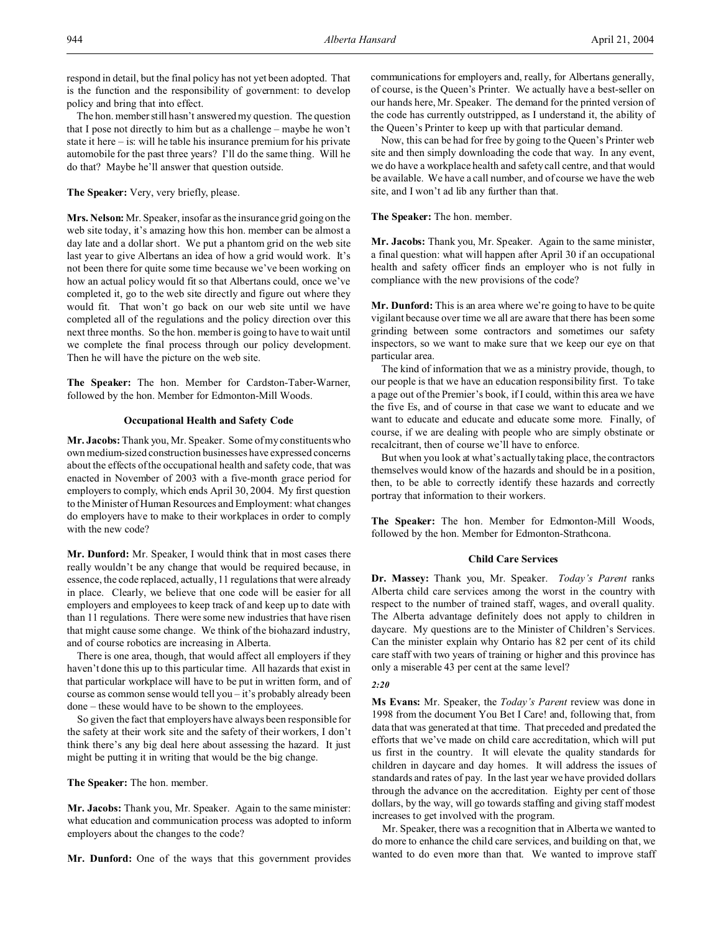respond in detail, but the final policy has not yet been adopted. That is the function and the responsibility of government: to develop policy and bring that into effect.

The hon. member still hasn't answered my question. The question that I pose not directly to him but as a challenge – maybe he won't state it here – is: will he table his insurance premium for his private automobile for the past three years? I'll do the same thing. Will he do that? Maybe he'll answer that question outside.

# **The Speaker:** Very, very briefly, please.

**Mrs. Nelson:** Mr. Speaker, insofar as the insurance grid going on the web site today, it's amazing how this hon. member can be almost a day late and a dollar short. We put a phantom grid on the web site last year to give Albertans an idea of how a grid would work. It's not been there for quite some time because we've been working on how an actual policy would fit so that Albertans could, once we've completed it, go to the web site directly and figure out where they would fit. That won't go back on our web site until we have completed all of the regulations and the policy direction over this next three months. So the hon. member is going to have to wait until we complete the final process through our policy development. Then he will have the picture on the web site.

**The Speaker:** The hon. Member for Cardston-Taber-Warner, followed by the hon. Member for Edmonton-Mill Woods.

## **Occupational Health and Safety Code**

**Mr. Jacobs:** Thank you, Mr. Speaker. Some of my constituents who own medium-sized construction businesses have expressed concerns about the effects of the occupational health and safety code, that was enacted in November of 2003 with a five-month grace period for employers to comply, which ends April 30, 2004. My first question to the Minister of Human Resources and Employment: what changes do employers have to make to their workplaces in order to comply with the new code?

**Mr. Dunford:** Mr. Speaker, I would think that in most cases there really wouldn't be any change that would be required because, in essence, the code replaced, actually, 11 regulations that were already in place. Clearly, we believe that one code will be easier for all employers and employees to keep track of and keep up to date with than 11 regulations. There were some new industries that have risen that might cause some change. We think of the biohazard industry, and of course robotics are increasing in Alberta.

There is one area, though, that would affect all employers if they haven't done this up to this particular time. All hazards that exist in that particular workplace will have to be put in written form, and of course as common sense would tell you – it's probably already been done – these would have to be shown to the employees.

So given the fact that employers have always been responsible for the safety at their work site and the safety of their workers, I don't think there's any big deal here about assessing the hazard. It just might be putting it in writing that would be the big change.

**The Speaker:** The hon. member.

**Mr. Jacobs:** Thank you, Mr. Speaker. Again to the same minister: what education and communication process was adopted to inform employers about the changes to the code?

**Mr. Dunford:** One of the ways that this government provides

communications for employers and, really, for Albertans generally, of course, is the Queen's Printer. We actually have a best-seller on our hands here, Mr. Speaker. The demand for the printed version of the code has currently outstripped, as I understand it, the ability of the Queen's Printer to keep up with that particular demand.

Now, this can be had for free by going to the Queen's Printer web site and then simply downloading the code that way. In any event, we do have a workplace health and safety call centre, and that would be available. We have a call number, and of course we have the web site, and I won't ad lib any further than that.

**The Speaker:** The hon. member.

**Mr. Jacobs:** Thank you, Mr. Speaker. Again to the same minister, a final question: what will happen after April 30 if an occupational health and safety officer finds an employer who is not fully in compliance with the new provisions of the code?

**Mr. Dunford:** This is an area where we're going to have to be quite vigilant because over time we all are aware that there has been some grinding between some contractors and sometimes our safety inspectors, so we want to make sure that we keep our eye on that particular area.

The kind of information that we as a ministry provide, though, to our people is that we have an education responsibility first. To take a page out of the Premier's book, if I could, within this area we have the five Es, and of course in that case we want to educate and we want to educate and educate and educate some more. Finally, of course, if we are dealing with people who are simply obstinate or recalcitrant, then of course we'll have to enforce.

But when you look at what's actually taking place, the contractors themselves would know of the hazards and should be in a position, then, to be able to correctly identify these hazards and correctly portray that information to their workers.

**The Speaker:** The hon. Member for Edmonton-Mill Woods, followed by the hon. Member for Edmonton-Strathcona.

### **Child Care Services**

**Dr. Massey:** Thank you, Mr. Speaker. *Today's Parent* ranks Alberta child care services among the worst in the country with respect to the number of trained staff, wages, and overall quality. The Alberta advantage definitely does not apply to children in daycare. My questions are to the Minister of Children's Services. Can the minister explain why Ontario has 82 per cent of its child care staff with two years of training or higher and this province has only a miserable 43 per cent at the same level?

## *2:20*

**Ms Evans:** Mr. Speaker, the *Today's Parent* review was done in 1998 from the document You Bet I Care! and, following that, from data that was generated at that time. That preceded and predated the efforts that we've made on child care accreditation, which will put us first in the country. It will elevate the quality standards for children in daycare and day homes. It will address the issues of standards and rates of pay. In the last year we have provided dollars through the advance on the accreditation. Eighty per cent of those dollars, by the way, will go towards staffing and giving staff modest increases to get involved with the program.

Mr. Speaker, there was a recognition that in Alberta we wanted to do more to enhance the child care services, and building on that, we wanted to do even more than that. We wanted to improve staff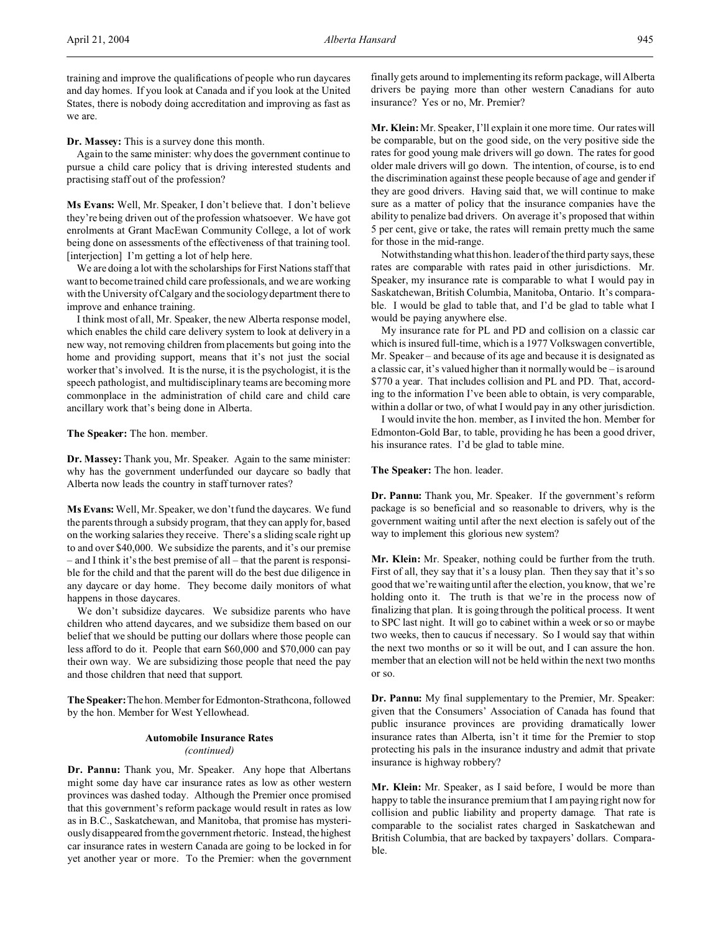training and improve the qualifications of people who run daycares and day homes. If you look at Canada and if you look at the United States, there is nobody doing accreditation and improving as fast as we are.

**Dr. Massey:** This is a survey done this month.

Again to the same minister: why does the government continue to pursue a child care policy that is driving interested students and practising staff out of the profession?

**Ms Evans:** Well, Mr. Speaker, I don't believe that. I don't believe they're being driven out of the profession whatsoever. We have got enrolments at Grant MacEwan Community College, a lot of work being done on assessments of the effectiveness of that training tool. [interjection] I'm getting a lot of help here.

We are doing a lot with the scholarships for First Nations staff that want to become trained child care professionals, and we are working with the University of Calgary and the sociology department there to improve and enhance training.

I think most of all, Mr. Speaker, the new Alberta response model, which enables the child care delivery system to look at delivery in a new way, not removing children from placements but going into the home and providing support, means that it's not just the social worker that's involved. It is the nurse, it is the psychologist, it is the speech pathologist, and multidisciplinary teams are becoming more commonplace in the administration of child care and child care ancillary work that's being done in Alberta.

**The Speaker:** The hon. member.

**Dr. Massey:** Thank you, Mr. Speaker. Again to the same minister: why has the government underfunded our daycare so badly that Alberta now leads the country in staff turnover rates?

**Ms Evans:** Well, Mr. Speaker, we don't fund the daycares. We fund the parents through a subsidy program, that they can apply for, based on the working salaries they receive. There's a sliding scale right up to and over \$40,000. We subsidize the parents, and it's our premise – and I think it's the best premise of all – that the parent is responsible for the child and that the parent will do the best due diligence in any daycare or day home. They become daily monitors of what happens in those daycares.

We don't subsidize daycares. We subsidize parents who have children who attend daycares, and we subsidize them based on our belief that we should be putting our dollars where those people can less afford to do it. People that earn \$60,000 and \$70,000 can pay their own way. We are subsidizing those people that need the pay and those children that need that support.

**The Speaker:**Thehon. Member for Edmonton-Strathcona, followed by the hon. Member for West Yellowhead.

# **Automobile Insurance Rates** *(continued)*

**Dr. Pannu:** Thank you, Mr. Speaker. Any hope that Albertans might some day have car insurance rates as low as other western provinces was dashed today. Although the Premier once promised that this government's reform package would result in rates as low as in B.C., Saskatchewan, and Manitoba, that promise has mysteriously disappeared from the government rhetoric. Instead, the highest car insurance rates in western Canada are going to be locked in for yet another year or more. To the Premier: when the government

finally gets around to implementing its reform package, will Alberta drivers be paying more than other western Canadians for auto insurance? Yes or no, Mr. Premier?

**Mr. Klein:** Mr. Speaker, I'll explain it one more time. Our rates will be comparable, but on the good side, on the very positive side the rates for good young male drivers will go down. The rates for good older male drivers will go down. The intention, of course, is to end the discrimination against these people because of age and gender if they are good drivers. Having said that, we will continue to make sure as a matter of policy that the insurance companies have the ability to penalize bad drivers. On average it's proposed that within 5 per cent, give or take, the rates will remain pretty much the same for those in the mid-range.

Notwithstanding what this hon. leader of the third party says, these rates are comparable with rates paid in other jurisdictions. Mr. Speaker, my insurance rate is comparable to what I would pay in Saskatchewan, British Columbia, Manitoba, Ontario. It's comparable. I would be glad to table that, and I'd be glad to table what I would be paying anywhere else.

My insurance rate for PL and PD and collision on a classic car which is insured full-time, which is a 1977 Volkswagen convertible, Mr. Speaker – and because of its age and because it is designated as a classic car, it's valued higher than it normally would be – is around \$770 a year. That includes collision and PL and PD. That, according to the information I've been able to obtain, is very comparable, within a dollar or two, of what I would pay in any other jurisdiction.

I would invite the hon. member, as I invited the hon. Member for Edmonton-Gold Bar, to table, providing he has been a good driver, his insurance rates. I'd be glad to table mine.

**The Speaker:** The hon. leader.

**Dr. Pannu:** Thank you, Mr. Speaker. If the government's reform package is so beneficial and so reasonable to drivers, why is the government waiting until after the next election is safely out of the way to implement this glorious new system?

**Mr. Klein:** Mr. Speaker, nothing could be further from the truth. First of all, they say that it's a lousy plan. Then they say that it's so good that we're waiting until after the election, you know, that we're holding onto it. The truth is that we're in the process now of finalizing that plan. It is going through the political process. It went to SPC last night. It will go to cabinet within a week or so or maybe two weeks, then to caucus if necessary. So I would say that within the next two months or so it will be out, and I can assure the hon. member that an election will not be held within the next two months or so.

**Dr. Pannu:** My final supplementary to the Premier, Mr. Speaker: given that the Consumers' Association of Canada has found that public insurance provinces are providing dramatically lower insurance rates than Alberta, isn't it time for the Premier to stop protecting his pals in the insurance industry and admit that private insurance is highway robbery?

**Mr. Klein:** Mr. Speaker, as I said before, I would be more than happy to table the insurance premium that I am paying right now for collision and public liability and property damage. That rate is comparable to the socialist rates charged in Saskatchewan and British Columbia, that are backed by taxpayers' dollars. Comparable.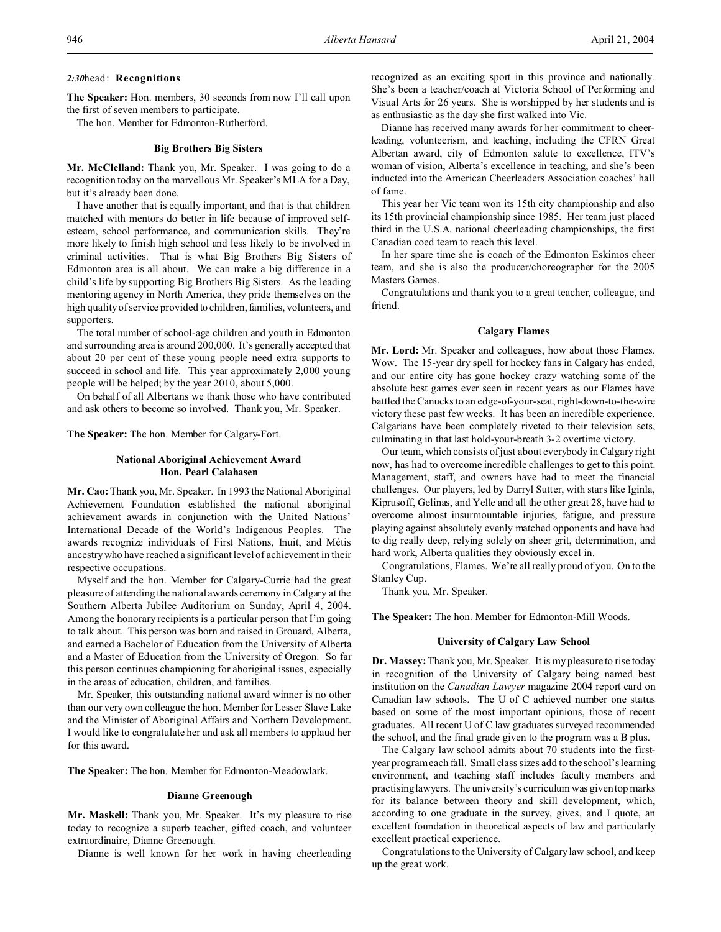**The Speaker:** Hon. members, 30 seconds from now I'll call upon the first of seven members to participate.

The hon. Member for Edmonton-Rutherford.

#### **Big Brothers Big Sisters**

**Mr. McClelland:** Thank you, Mr. Speaker. I was going to do a recognition today on the marvellous Mr. Speaker's MLA for a Day, but it's already been done.

I have another that is equally important, and that is that children matched with mentors do better in life because of improved selfesteem, school performance, and communication skills. They're more likely to finish high school and less likely to be involved in criminal activities. That is what Big Brothers Big Sisters of Edmonton area is all about. We can make a big difference in a child's life by supporting Big Brothers Big Sisters. As the leading mentoring agency in North America, they pride themselves on the high quality of service provided to children, families, volunteers, and supporters.

The total number of school-age children and youth in Edmonton and surrounding area is around 200,000. It's generally accepted that about 20 per cent of these young people need extra supports to succeed in school and life. This year approximately 2,000 young people will be helped; by the year 2010, about 5,000.

On behalf of all Albertans we thank those who have contributed and ask others to become so involved. Thank you, Mr. Speaker.

**The Speaker:** The hon. Member for Calgary-Fort.

# **National Aboriginal Achievement Award Hon. Pearl Calahasen**

**Mr. Cao:** Thank you, Mr. Speaker. In 1993 the National Aboriginal Achievement Foundation established the national aboriginal achievement awards in conjunction with the United Nations' International Decade of the World's Indigenous Peoples. The awards recognize individuals of First Nations, Inuit, and Métis ancestry who have reached a significant level of achievement in their respective occupations.

Myself and the hon. Member for Calgary-Currie had the great pleasure of attending the national awards ceremony in Calgary at the Southern Alberta Jubilee Auditorium on Sunday, April 4, 2004. Among the honorary recipients is a particular person that I'm going to talk about. This person was born and raised in Grouard, Alberta, and earned a Bachelor of Education from the University of Alberta and a Master of Education from the University of Oregon. So far this person continues championing for aboriginal issues, especially in the areas of education, children, and families.

Mr. Speaker, this outstanding national award winner is no other than our very own colleague the hon. Member for Lesser Slave Lake and the Minister of Aboriginal Affairs and Northern Development. I would like to congratulate her and ask all members to applaud her for this award.

**The Speaker:** The hon. Member for Edmonton-Meadowlark.

#### **Dianne Greenough**

**Mr. Maskell:** Thank you, Mr. Speaker. It's my pleasure to rise today to recognize a superb teacher, gifted coach, and volunteer extraordinaire, Dianne Greenough.

Dianne is well known for her work in having cheerleading

recognized as an exciting sport in this province and nationally. She's been a teacher/coach at Victoria School of Performing and Visual Arts for 26 years. She is worshipped by her students and is as enthusiastic as the day she first walked into Vic.

Dianne has received many awards for her commitment to cheerleading, volunteerism, and teaching, including the CFRN Great Albertan award, city of Edmonton salute to excellence, ITV's woman of vision, Alberta's excellence in teaching, and she's been inducted into the American Cheerleaders Association coaches' hall of fame.

This year her Vic team won its 15th city championship and also its 15th provincial championship since 1985. Her team just placed third in the U.S.A. national cheerleading championships, the first Canadian coed team to reach this level.

In her spare time she is coach of the Edmonton Eskimos cheer team, and she is also the producer/choreographer for the 2005 Masters Games.

Congratulations and thank you to a great teacher, colleague, and friend.

### **Calgary Flames**

**Mr. Lord:** Mr. Speaker and colleagues, how about those Flames. Wow. The 15-year dry spell for hockey fans in Calgary has ended, and our entire city has gone hockey crazy watching some of the absolute best games ever seen in recent years as our Flames have battled the Canucks to an edge-of-your-seat, right-down-to-the-wire victory these past few weeks. It has been an incredible experience. Calgarians have been completely riveted to their television sets, culminating in that last hold-your-breath 3-2 overtime victory.

Our team, which consists of just about everybody in Calgary right now, has had to overcome incredible challenges to get to this point. Management, staff, and owners have had to meet the financial challenges. Our players, led by Darryl Sutter, with stars like Iginla, Kiprusoff, Gelinas, and Yelle and all the other great 28, have had to overcome almost insurmountable injuries, fatigue, and pressure playing against absolutely evenly matched opponents and have had to dig really deep, relying solely on sheer grit, determination, and hard work, Alberta qualities they obviously excel in.

Congratulations, Flames. We're all really proud of you. On to the Stanley Cup.

Thank you, Mr. Speaker.

**The Speaker:** The hon. Member for Edmonton-Mill Woods.

#### **University of Calgary Law School**

**Dr. Massey:** Thank you, Mr. Speaker. It is my pleasure to rise today in recognition of the University of Calgary being named best institution on the *Canadian Lawyer* magazine 2004 report card on Canadian law schools. The U of C achieved number one status based on some of the most important opinions, those of recent graduates. All recent U of C law graduates surveyed recommended the school, and the final grade given to the program was a B plus.

The Calgary law school admits about 70 students into the firstyear program each fall. Small class sizes add to the school's learning environment, and teaching staff includes faculty members and practising lawyers. The university's curriculum was given top marks for its balance between theory and skill development, which, according to one graduate in the survey, gives, and I quote, an excellent foundation in theoretical aspects of law and particularly excellent practical experience.

Congratulations to the University of Calgary law school, and keep up the great work.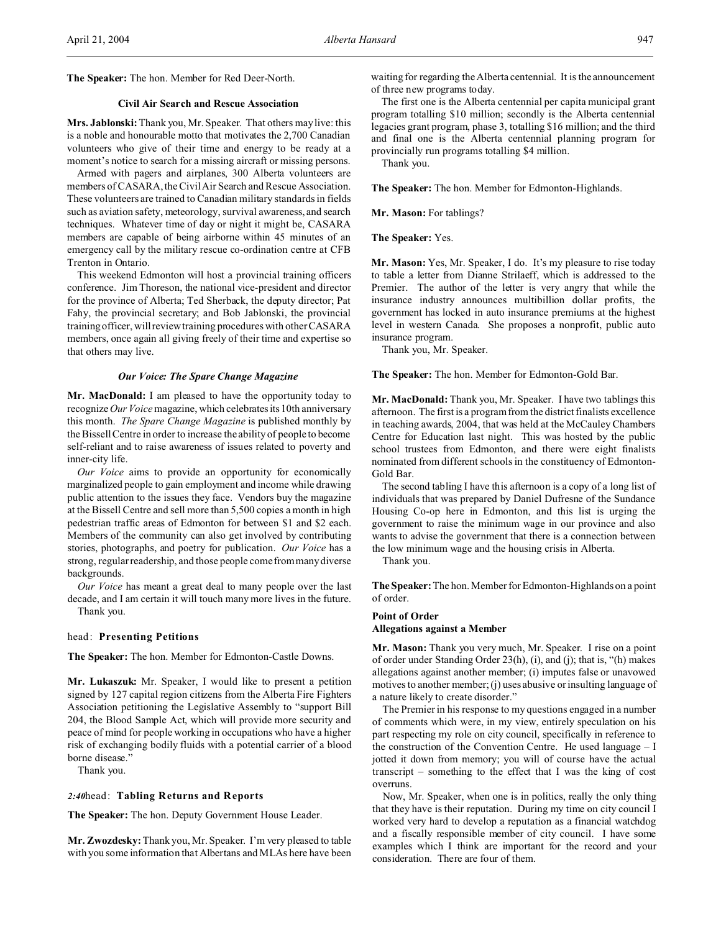**The Speaker:** The hon. Member for Red Deer-North.

# **Civil Air Search and Rescue Association**

**Mrs. Jablonski:** Thank you, Mr. Speaker. That others may live: this is a noble and honourable motto that motivates the 2,700 Canadian volunteers who give of their time and energy to be ready at a moment's notice to search for a missing aircraft or missing persons.

Armed with pagers and airplanes, 300 Alberta volunteers are members of CASARA, the Civil Air Search and Rescue Association. These volunteers are trained to Canadian military standards in fields such as aviation safety, meteorology, survival awareness, and search techniques. Whatever time of day or night it might be, CASARA members are capable of being airborne within 45 minutes of an emergency call by the military rescue co-ordination centre at CFB Trenton in Ontario.

This weekend Edmonton will host a provincial training officers conference. Jim Thoreson, the national vice-president and director for the province of Alberta; Ted Sherback, the deputy director; Pat Fahy, the provincial secretary; and Bob Jablonski, the provincial training officer, will review training procedures with other CASARA members, once again all giving freely of their time and expertise so that others may live.

#### *Our Voice: The Spare Change Magazine*

**Mr. MacDonald:** I am pleased to have the opportunity today to recognize*Our Voice* magazine, which celebratesits 10th anniversary this month. *The Spare Change Magazine* is published monthly by the Bissell Centre in order to increase the ability of people to become self-reliant and to raise awareness of issues related to poverty and inner-city life.

*Our Voice* aims to provide an opportunity for economically marginalized people to gain employment and income while drawing public attention to the issues they face. Vendors buy the magazine at the Bissell Centre and sell more than 5,500 copies a month in high pedestrian traffic areas of Edmonton for between \$1 and \$2 each. Members of the community can also get involved by contributing stories, photographs, and poetry for publication. *Our Voice* has a strong, regular readership, and those people come from many diverse backgrounds.

*Our Voice* has meant a great deal to many people over the last decade, and I am certain it will touch many more lives in the future. Thank you.

### head: **Presenting Petitions**

**The Speaker:** The hon. Member for Edmonton-Castle Downs.

**Mr. Lukaszuk:** Mr. Speaker, I would like to present a petition signed by 127 capital region citizens from the Alberta Fire Fighters Association petitioning the Legislative Assembly to "support Bill 204, the Blood Sample Act, which will provide more security and peace of mind for people working in occupations who have a higher risk of exchanging bodily fluids with a potential carrier of a blood borne disease."

Thank you.

#### *2:40*head: **Tabling Returns and Reports**

**The Speaker:** The hon. Deputy Government House Leader.

**Mr. Zwozdesky:** Thank you, Mr. Speaker. I'm very pleased to table with you some information that Albertans and MLAs here have been waiting for regarding the Alberta centennial. It is the announcement of three new programs today.

The first one is the Alberta centennial per capita municipal grant program totalling \$10 million; secondly is the Alberta centennial legacies grant program, phase 3, totalling \$16 million; and the third and final one is the Alberta centennial planning program for provincially run programs totalling \$4 million.

Thank you.

**The Speaker:** The hon. Member for Edmonton-Highlands.

**Mr. Mason:** For tablings?

**The Speaker:** Yes.

**Mr. Mason:** Yes, Mr. Speaker, I do. It's my pleasure to rise today to table a letter from Dianne Strilaeff, which is addressed to the Premier. The author of the letter is very angry that while the insurance industry announces multibillion dollar profits, the government has locked in auto insurance premiums at the highest level in western Canada. She proposes a nonprofit, public auto insurance program.

Thank you, Mr. Speaker.

**The Speaker:** The hon. Member for Edmonton-Gold Bar.

**Mr. MacDonald:** Thank you, Mr. Speaker. I have two tablings this afternoon. The first is a program from the district finalists excellence in teaching awards, 2004, that was held at the McCauley Chambers Centre for Education last night. This was hosted by the public school trustees from Edmonton, and there were eight finalists nominated from different schools in the constituency of Edmonton-Gold Bar.

The second tabling I have this afternoon is a copy of a long list of individuals that was prepared by Daniel Dufresne of the Sundance Housing Co-op here in Edmonton, and this list is urging the government to raise the minimum wage in our province and also wants to advise the government that there is a connection between the low minimum wage and the housing crisis in Alberta.

Thank you.

**The Speaker:** The hon. Member for Edmonton-Highlands on a point of order.

#### **Point of Order**

**Allegations against a Member**

**Mr. Mason:** Thank you very much, Mr. Speaker. I rise on a point of order under Standing Order 23(h), (i), and (j); that is, "(h) makes allegations against another member; (i) imputes false or unavowed motives to another member; (j) uses abusive or insulting language of a nature likely to create disorder."

The Premier in his response to my questions engaged in a number of comments which were, in my view, entirely speculation on his part respecting my role on city council, specifically in reference to the construction of the Convention Centre. He used language – I jotted it down from memory; you will of course have the actual transcript – something to the effect that I was the king of cost overruns.

Now, Mr. Speaker, when one is in politics, really the only thing that they have is their reputation. During my time on city council I worked very hard to develop a reputation as a financial watchdog and a fiscally responsible member of city council. I have some examples which I think are important for the record and your consideration. There are four of them.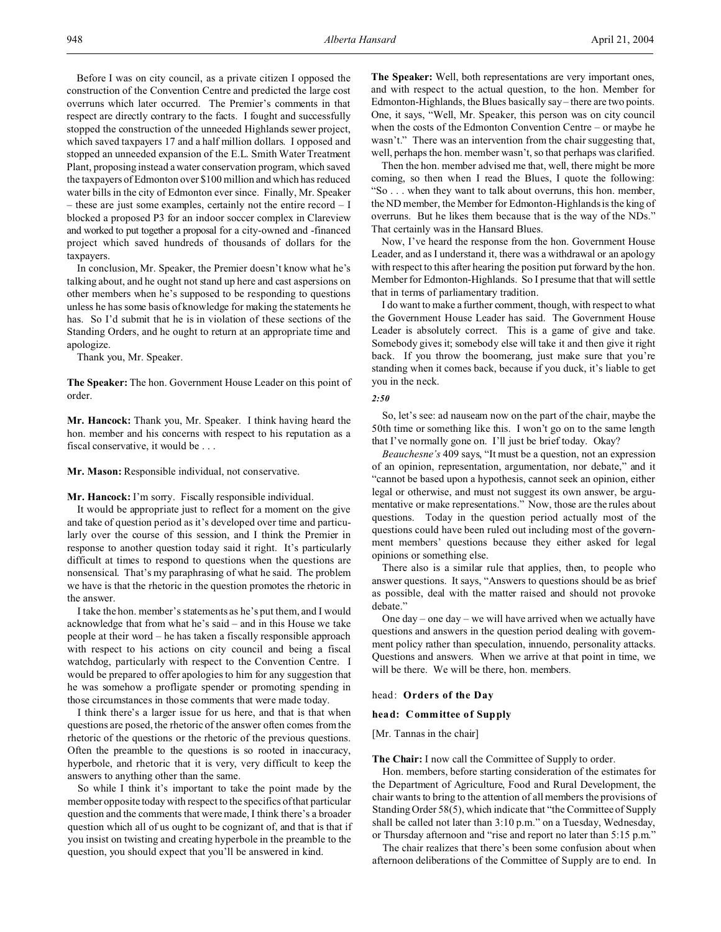Before I was on city council, as a private citizen I opposed the construction of the Convention Centre and predicted the large cost overruns which later occurred. The Premier's comments in that respect are directly contrary to the facts. I fought and successfully stopped the construction of the unneeded Highlands sewer project, which saved taxpayers 17 and a half million dollars. I opposed and stopped an unneeded expansion of the E.L. Smith Water Treatment Plant, proposing instead a water conservation program, which saved the taxpayers of Edmonton over \$100 million and which has reduced water bills in the city of Edmonton ever since. Finally, Mr. Speaker – these are just some examples, certainly not the entire record – I blocked a proposed P3 for an indoor soccer complex in Clareview and worked to put together a proposal for a city-owned and -financed project which saved hundreds of thousands of dollars for the taxpayers.

In conclusion, Mr. Speaker, the Premier doesn't know what he's talking about, and he ought not stand up here and cast aspersions on other members when he's supposed to be responding to questions unless he has some basis of knowledge for making the statements he has. So I'd submit that he is in violation of these sections of the Standing Orders, and he ought to return at an appropriate time and apologize.

Thank you, Mr. Speaker.

**The Speaker:** The hon. Government House Leader on this point of order.

**Mr. Hancock:** Thank you, Mr. Speaker. I think having heard the hon. member and his concerns with respect to his reputation as a fiscal conservative, it would be . . .

**Mr. Mason:** Responsible individual, not conservative.

**Mr. Hancock:** I'm sorry. Fiscally responsible individual.

It would be appropriate just to reflect for a moment on the give and take of question period as it's developed over time and particularly over the course of this session, and I think the Premier in response to another question today said it right. It's particularly difficult at times to respond to questions when the questions are nonsensical. That's my paraphrasing of what he said. The problem we have is that the rhetoric in the question promotes the rhetoric in the answer.

I take the hon. member's statements as he's put them, and I would acknowledge that from what he's said – and in this House we take people at their word – he has taken a fiscally responsible approach with respect to his actions on city council and being a fiscal watchdog, particularly with respect to the Convention Centre. I would be prepared to offer apologies to him for any suggestion that he was somehow a profligate spender or promoting spending in those circumstances in those comments that were made today.

I think there's a larger issue for us here, and that is that when questions are posed, the rhetoric of the answer often comes from the rhetoric of the questions or the rhetoric of the previous questions. Often the preamble to the questions is so rooted in inaccuracy, hyperbole, and rhetoric that it is very, very difficult to keep the answers to anything other than the same.

So while I think it's important to take the point made by the member opposite today with respect to the specifics of that particular question and the comments that were made, I think there's a broader question which all of us ought to be cognizant of, and that is that if you insist on twisting and creating hyperbole in the preamble to the question, you should expect that you'll be answered in kind.

**The Speaker:** Well, both representations are very important ones, and with respect to the actual question, to the hon. Member for Edmonton-Highlands, the Blues basically say – there are two points. One, it says, "Well, Mr. Speaker, this person was on city council when the costs of the Edmonton Convention Centre – or maybe he wasn't." There was an intervention from the chair suggesting that, well, perhaps the hon. member wasn't, so that perhaps was clarified.

Then the hon. member advised me that, well, there might be more coming, so then when I read the Blues, I quote the following: "So . . . when they want to talk about overruns, this hon. member, the ND member, the Member for Edmonton-Highlands is the king of overruns. But he likes them because that is the way of the NDs." That certainly was in the Hansard Blues.

Now, I've heard the response from the hon. Government House Leader, and as I understand it, there was a withdrawal or an apology with respect to this after hearing the position put forward by the hon. Member for Edmonton-Highlands. So I presume that that will settle that in terms of parliamentary tradition.

I do want to make a further comment, though, with respect to what the Government House Leader has said. The Government House Leader is absolutely correct. This is a game of give and take. Somebody gives it; somebody else will take it and then give it right back. If you throw the boomerang, just make sure that you're standing when it comes back, because if you duck, it's liable to get you in the neck.

#### *2:50*

So, let's see: ad nauseam now on the part of the chair, maybe the 50th time or something like this. I won't go on to the same length that I've normally gone on. I'll just be brief today. Okay?

*Beauchesne's* 409 says, "It must be a question, not an expression of an opinion, representation, argumentation, nor debate," and it "cannot be based upon a hypothesis, cannot seek an opinion, either legal or otherwise, and must not suggest its own answer, be argumentative or make representations." Now, those are the rules about questions. Today in the question period actually most of the questions could have been ruled out including most of the government members' questions because they either asked for legal opinions or something else.

There also is a similar rule that applies, then, to people who answer questions. It says, "Answers to questions should be as brief as possible, deal with the matter raised and should not provoke debate."

One day – one day – we will have arrived when we actually have questions and answers in the question period dealing with government policy rather than speculation, innuendo, personality attacks. Questions and answers. When we arrive at that point in time, we will be there. We will be there, hon. members.

#### head: **Orders of the Day**

## **head: Committee of Supply**

[Mr. Tannas in the chair]

## **The Chair:** I now call the Committee of Supply to order.

Hon. members, before starting consideration of the estimates for the Department of Agriculture, Food and Rural Development, the chair wants to bring to the attention of all members the provisions of Standing Order 58(5), which indicate that "the Committee of Supply shall be called not later than 3:10 p.m." on a Tuesday, Wednesday, or Thursday afternoon and "rise and report no later than 5:15 p.m."

The chair realizes that there's been some confusion about when afternoon deliberations of the Committee of Supply are to end. In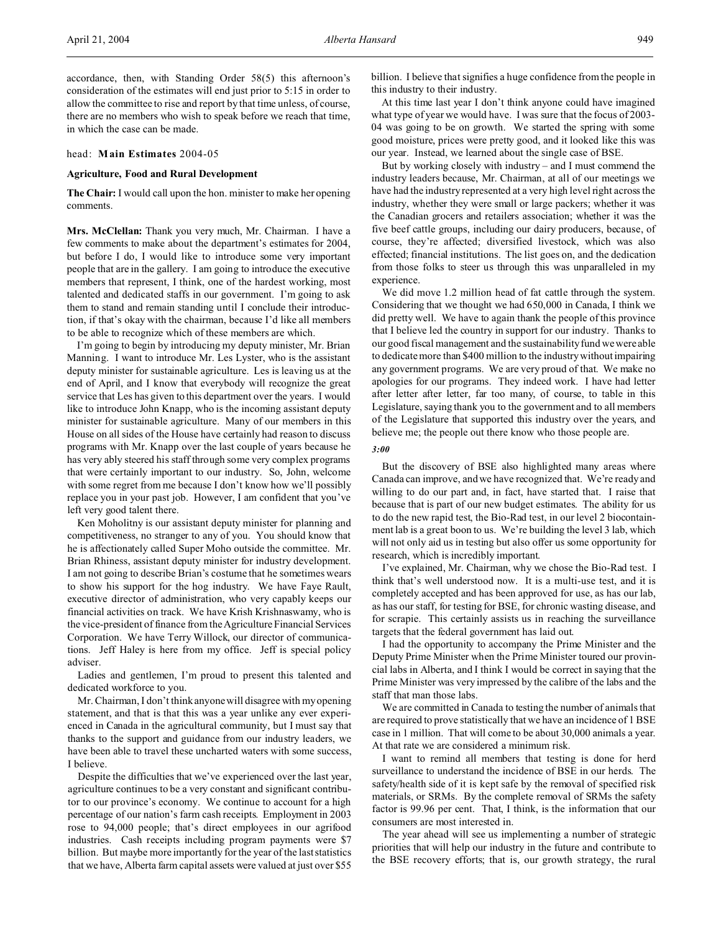#### head: **Main Estimates** 2004-05

in which the case can be made.

#### **Agriculture, Food and Rural Development**

**The Chair:** I would call upon the hon. minister to make her opening comments.

**Mrs. McClellan:** Thank you very much, Mr. Chairman. I have a few comments to make about the department's estimates for 2004, but before I do, I would like to introduce some very important people that are in the gallery. I am going to introduce the executive members that represent, I think, one of the hardest working, most talented and dedicated staffs in our government. I'm going to ask them to stand and remain standing until I conclude their introduction, if that's okay with the chairman, because I'd like all members to be able to recognize which of these members are which.

I'm going to begin by introducing my deputy minister, Mr. Brian Manning. I want to introduce Mr. Les Lyster, who is the assistant deputy minister for sustainable agriculture. Les is leaving us at the end of April, and I know that everybody will recognize the great service that Les has given to this department over the years. I would like to introduce John Knapp, who is the incoming assistant deputy minister for sustainable agriculture. Many of our members in this House on all sides of the House have certainly had reason to discuss programs with Mr. Knapp over the last couple of years because he has very ably steered his staff through some very complex programs that were certainly important to our industry. So, John, welcome with some regret from me because I don't know how we'll possibly replace you in your past job. However, I am confident that you've left very good talent there.

Ken Moholitny is our assistant deputy minister for planning and competitiveness, no stranger to any of you. You should know that he is affectionately called Super Moho outside the committee. Mr. Brian Rhiness, assistant deputy minister for industry development. I am not going to describe Brian's costume that he sometimes wears to show his support for the hog industry. We have Faye Rault, executive director of administration, who very capably keeps our financial activities on track. We have Krish Krishnaswamy, who is the vice-president of finance from the Agriculture Financial Services Corporation. We have Terry Willock, our director of communications. Jeff Haley is here from my office. Jeff is special policy adviser.

Ladies and gentlemen, I'm proud to present this talented and dedicated workforce to you.

Mr. Chairman, I don't think anyone will disagree with my opening statement, and that is that this was a year unlike any ever experienced in Canada in the agricultural community, but I must say that thanks to the support and guidance from our industry leaders, we have been able to travel these uncharted waters with some success, I believe.

Despite the difficulties that we've experienced over the last year, agriculture continues to be a very constant and significant contributor to our province's economy. We continue to account for a high percentage of our nation's farm cash receipts. Employment in 2003 rose to 94,000 people; that's direct employees in our agrifood industries. Cash receipts including program payments were \$7 billion. But maybe more importantly for the year of the last statistics that we have, Alberta farm capital assets were valued at just over \$55 billion. I believe that signifies a huge confidence from the people in this industry to their industry.

At this time last year I don't think anyone could have imagined what type of year we would have. I was sure that the focus of 2003- 04 was going to be on growth. We started the spring with some good moisture, prices were pretty good, and it looked like this was our year. Instead, we learned about the single case of BSE.

But by working closely with industry – and I must commend the industry leaders because, Mr. Chairman, at all of our meetings we have had the industry represented at a very high level right across the industry, whether they were small or large packers; whether it was the Canadian grocers and retailers association; whether it was the five beef cattle groups, including our dairy producers, because, of course, they're affected; diversified livestock, which was also effected; financial institutions. The list goes on, and the dedication from those folks to steer us through this was unparalleled in my experience.

We did move 1.2 million head of fat cattle through the system. Considering that we thought we had 650,000 in Canada, I think we did pretty well. We have to again thank the people of this province that I believe led the country in support for our industry. Thanks to our good fiscal management and the sustainability fund we were able to dedicate more than \$400 million to the industry without impairing any government programs. We are very proud of that. We make no apologies for our programs. They indeed work. I have had letter after letter after letter, far too many, of course, to table in this Legislature, saying thank you to the government and to all members of the Legislature that supported this industry over the years, and believe me; the people out there know who those people are.

## *3:00*

But the discovery of BSE also highlighted many areas where Canada can improve, and we have recognized that. We're ready and willing to do our part and, in fact, have started that. I raise that because that is part of our new budget estimates. The ability for us to do the new rapid test, the Bio-Rad test, in our level 2 biocontainment lab is a great boon to us. We're building the level 3 lab, which will not only aid us in testing but also offer us some opportunity for research, which is incredibly important.

I've explained, Mr. Chairman, why we chose the Bio-Rad test. I think that's well understood now. It is a multi-use test, and it is completely accepted and has been approved for use, as has our lab, as has our staff, for testing for BSE, for chronic wasting disease, and for scrapie. This certainly assists us in reaching the surveillance targets that the federal government has laid out.

I had the opportunity to accompany the Prime Minister and the Deputy Prime Minister when the Prime Minister toured our provincial labs in Alberta, and I think I would be correct in saying that the Prime Minister was very impressed by the calibre of the labs and the staff that man those labs.

We are committed in Canada to testing the number of animals that are required to prove statistically that we have an incidence of 1 BSE case in 1 million. That will come to be about 30,000 animals a year. At that rate we are considered a minimum risk.

I want to remind all members that testing is done for herd surveillance to understand the incidence of BSE in our herds. The safety/health side of it is kept safe by the removal of specified risk materials, or SRMs. By the complete removal of SRMs the safety factor is 99.96 per cent. That, I think, is the information that our consumers are most interested in.

The year ahead will see us implementing a number of strategic priorities that will help our industry in the future and contribute to the BSE recovery efforts; that is, our growth strategy, the rural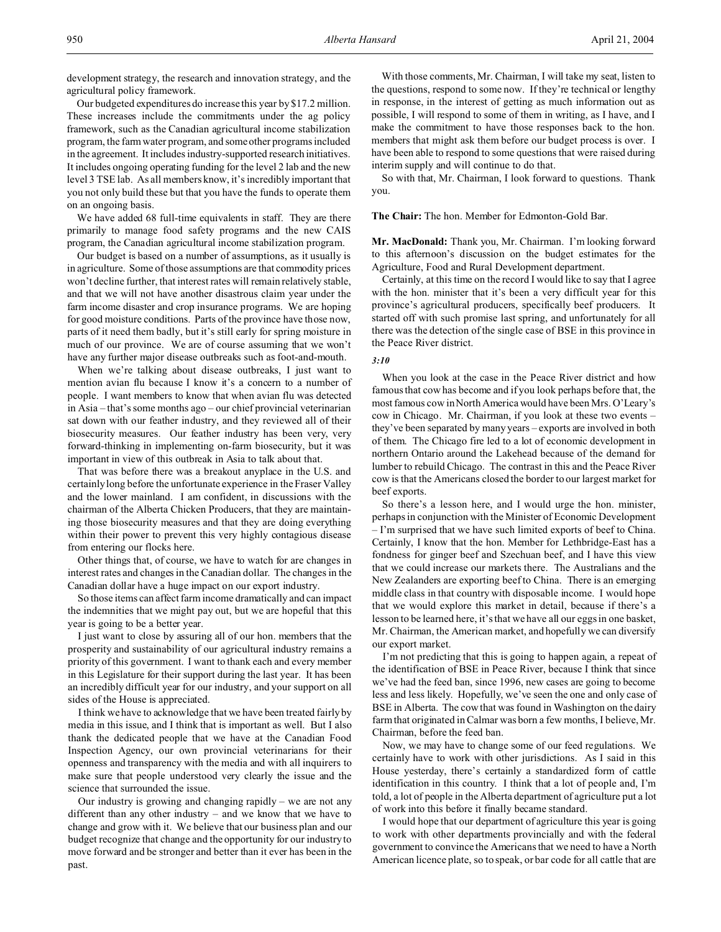development strategy, the research and innovation strategy, and the agricultural policy framework.

Our budgeted expenditures do increase this year by \$17.2 million. These increases include the commitments under the ag policy framework, such as the Canadian agricultural income stabilization program, the farm water program, and some other programs included in the agreement. It includes industry-supported research initiatives. It includes ongoing operating funding for the level 2 lab and the new level 3 TSE lab. As all members know, it's incredibly important that you not only build these but that you have the funds to operate them on an ongoing basis.

We have added 68 full-time equivalents in staff. They are there primarily to manage food safety programs and the new CAIS program, the Canadian agricultural income stabilization program.

Our budget is based on a number of assumptions, as it usually is in agriculture. Some of those assumptions are that commodity prices won't decline further, that interest rates will remain relatively stable, and that we will not have another disastrous claim year under the farm income disaster and crop insurance programs. We are hoping for good moisture conditions. Parts of the province have those now, parts of it need them badly, but it's still early for spring moisture in much of our province. We are of course assuming that we won't have any further major disease outbreaks such as foot-and-mouth.

When we're talking about disease outbreaks, I just want to mention avian flu because I know it's a concern to a number of people. I want members to know that when avian flu was detected in Asia – that's some months ago – our chief provincial veterinarian sat down with our feather industry, and they reviewed all of their biosecurity measures. Our feather industry has been very, very forward-thinking in implementing on-farm biosecurity, but it was important in view of this outbreak in Asia to talk about that.

That was before there was a breakout anyplace in the U.S. and certainly long before the unfortunate experience in the Fraser Valley and the lower mainland. I am confident, in discussions with the chairman of the Alberta Chicken Producers, that they are maintaining those biosecurity measures and that they are doing everything within their power to prevent this very highly contagious disease from entering our flocks here.

Other things that, of course, we have to watch for are changes in interest rates and changes in the Canadian dollar. The changes in the Canadian dollar have a huge impact on our export industry.

So those items can affect farm income dramatically and can impact the indemnities that we might pay out, but we are hopeful that this year is going to be a better year.

I just want to close by assuring all of our hon. members that the prosperity and sustainability of our agricultural industry remains a priority of this government. I want to thank each and every member in this Legislature for their support during the last year. It has been an incredibly difficult year for our industry, and your support on all sides of the House is appreciated.

I think we have to acknowledge that we have been treated fairly by media in this issue, and I think that is important as well. But I also thank the dedicated people that we have at the Canadian Food Inspection Agency, our own provincial veterinarians for their openness and transparency with the media and with all inquirers to make sure that people understood very clearly the issue and the science that surrounded the issue.

Our industry is growing and changing rapidly – we are not any different than any other industry – and we know that we have to change and grow with it. We believe that our business plan and our budget recognize that change and the opportunity for our industry to move forward and be stronger and better than it ever has been in the past.

With those comments, Mr. Chairman, I will take my seat, listen to the questions, respond to some now. If they're technical or lengthy in response, in the interest of getting as much information out as possible, I will respond to some of them in writing, as I have, and I make the commitment to have those responses back to the hon. members that might ask them before our budget process is over. I have been able to respond to some questions that were raised during interim supply and will continue to do that.

So with that, Mr. Chairman, I look forward to questions. Thank you.

**The Chair:** The hon. Member for Edmonton-Gold Bar.

**Mr. MacDonald:** Thank you, Mr. Chairman. I'm looking forward to this afternoon's discussion on the budget estimates for the Agriculture, Food and Rural Development department.

Certainly, at this time on the record I would like to say that I agree with the hon. minister that it's been a very difficult year for this province's agricultural producers, specifically beef producers. It started off with such promise last spring, and unfortunately for all there was the detection of the single case of BSE in this province in the Peace River district.

# *3:10*

When you look at the case in the Peace River district and how famous that cow has become and if you look perhaps before that, the most famous cow in North America would have been Mrs. O'Leary's cow in Chicago. Mr. Chairman, if you look at these two events – they've been separated by many years – exports are involved in both of them. The Chicago fire led to a lot of economic development in northern Ontario around the Lakehead because of the demand for lumber to rebuild Chicago. The contrast in this and the Peace River cow is that the Americans closed the border to our largest market for beef exports.

So there's a lesson here, and I would urge the hon. minister, perhaps in conjunction with the Minister of Economic Development – I'm surprised that we have such limited exports of beef to China. Certainly, I know that the hon. Member for Lethbridge-East has a fondness for ginger beef and Szechuan beef, and I have this view that we could increase our markets there. The Australians and the New Zealanders are exporting beef to China. There is an emerging middle class in that country with disposable income. I would hope that we would explore this market in detail, because if there's a lesson to be learned here, it's that we have all our eggs in one basket, Mr. Chairman, the American market, and hopefully we can diversify our export market.

I'm not predicting that this is going to happen again, a repeat of the identification of BSE in Peace River, because I think that since we've had the feed ban, since 1996, new cases are going to become less and less likely. Hopefully, we've seen the one and only case of BSE in Alberta. The cow that was found in Washington on the dairy farm that originated in Calmar was born a few months, I believe, Mr. Chairman, before the feed ban.

Now, we may have to change some of our feed regulations. We certainly have to work with other jurisdictions. As I said in this House yesterday, there's certainly a standardized form of cattle identification in this country. I think that a lot of people and, I'm told, a lot of people in the Alberta department of agriculture put a lot of work into this before it finally became standard.

I would hope that our department of agriculture this year is going to work with other departments provincially and with the federal government to convince the Americans that we need to have a North American licence plate, so to speak, or bar code for all cattle that are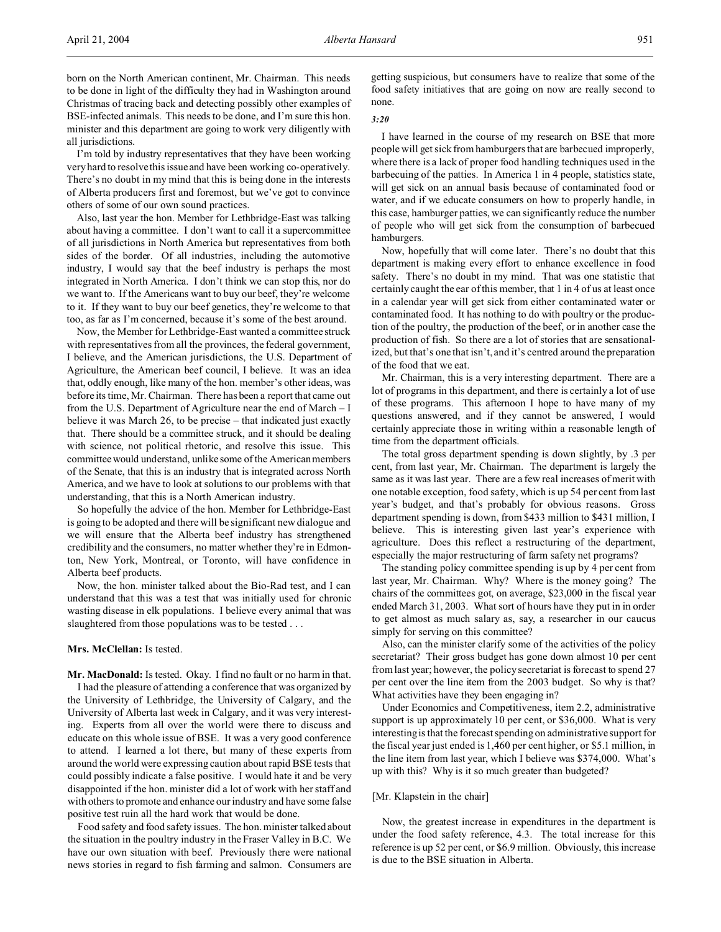born on the North American continent, Mr. Chairman. This needs to be done in light of the difficulty they had in Washington around Christmas of tracing back and detecting possibly other examples of BSE-infected animals. This needs to be done, and I'm sure this hon. minister and this department are going to work very diligently with all jurisdictions.

I'm told by industry representatives that they have been working very hard to resolve this issue and have been working co-operatively. There's no doubt in my mind that this is being done in the interests of Alberta producers first and foremost, but we've got to convince others of some of our own sound practices.

Also, last year the hon. Member for Lethbridge-East was talking about having a committee. I don't want to call it a supercommittee of all jurisdictions in North America but representatives from both sides of the border. Of all industries, including the automotive industry, I would say that the beef industry is perhaps the most integrated in North America. I don't think we can stop this, nor do we want to. If the Americans want to buy our beef, they're welcome to it. If they want to buy our beef genetics, they're welcome to that too, as far as I'm concerned, because it's some of the best around.

Now, the Member for Lethbridge-East wanted a committee struck with representatives from all the provinces, the federal government, I believe, and the American jurisdictions, the U.S. Department of Agriculture, the American beef council, I believe. It was an idea that, oddly enough, like many of the hon. member's other ideas, was before its time, Mr. Chairman. There has been a report that came out from the U.S. Department of Agriculture near the end of March – I believe it was March 26, to be precise – that indicated just exactly that. There should be a committee struck, and it should be dealing with science, not political rhetoric, and resolve this issue. This committee would understand, unlike some of the American members of the Senate, that this is an industry that is integrated across North America, and we have to look at solutions to our problems with that understanding, that this is a North American industry.

So hopefully the advice of the hon. Member for Lethbridge-East is going to be adopted and there will be significant new dialogue and we will ensure that the Alberta beef industry has strengthened credibility and the consumers, no matter whether they're in Edmonton, New York, Montreal, or Toronto, will have confidence in Alberta beef products.

Now, the hon. minister talked about the Bio-Rad test, and I can understand that this was a test that was initially used for chronic wasting disease in elk populations. I believe every animal that was slaughtered from those populations was to be tested . . .

# **Mrs. McClellan:** Is tested.

**Mr. MacDonald:** Is tested. Okay. I find no fault or no harm in that.

I had the pleasure of attending a conference that was organized by the University of Lethbridge, the University of Calgary, and the University of Alberta last week in Calgary, and it was very interesting. Experts from all over the world were there to discuss and educate on this whole issue of BSE. It was a very good conference to attend. I learned a lot there, but many of these experts from around the world were expressing caution about rapid BSE tests that could possibly indicate a false positive. I would hate it and be very disappointed if the hon. minister did a lot of work with her staff and with others to promote and enhance our industry and have some false positive test ruin all the hard work that would be done.

Food safety and food safety issues. The hon. minister talked about the situation in the poultry industry in the Fraser Valley in B.C. We have our own situation with beef. Previously there were national news stories in regard to fish farming and salmon. Consumers are getting suspicious, but consumers have to realize that some of the food safety initiatives that are going on now are really second to none.

#### *3:20*

I have learned in the course of my research on BSE that more people will get sick from hamburgers that are barbecued improperly, where there is a lack of proper food handling techniques used in the barbecuing of the patties. In America 1 in 4 people, statistics state, will get sick on an annual basis because of contaminated food or water, and if we educate consumers on how to properly handle, in this case, hamburger patties, we can significantly reduce the number of people who will get sick from the consumption of barbecued hamburgers.

Now, hopefully that will come later. There's no doubt that this department is making every effort to enhance excellence in food safety. There's no doubt in my mind. That was one statistic that certainly caught the ear of this member, that 1 in 4 of us at least once in a calendar year will get sick from either contaminated water or contaminated food. It has nothing to do with poultry or the production of the poultry, the production of the beef, or in another case the production of fish. So there are a lot of stories that are sensationalized, but that's one that isn't, and it's centred around the preparation of the food that we eat.

Mr. Chairman, this is a very interesting department. There are a lot of programs in this department, and there is certainly a lot of use of these programs. This afternoon I hope to have many of my questions answered, and if they cannot be answered, I would certainly appreciate those in writing within a reasonable length of time from the department officials.

The total gross department spending is down slightly, by .3 per cent, from last year, Mr. Chairman. The department is largely the same as it was last year. There are a few real increases of merit with one notable exception, food safety, which is up 54 per cent from last year's budget, and that's probably for obvious reasons. Gross department spending is down, from \$433 million to \$431 million, I believe. This is interesting given last year's experience with agriculture. Does this reflect a restructuring of the department, especially the major restructuring of farm safety net programs?

The standing policy committee spending is up by 4 per cent from last year, Mr. Chairman. Why? Where is the money going? The chairs of the committees got, on average, \$23,000 in the fiscal year ended March 31, 2003. What sort of hours have they put in in order to get almost as much salary as, say, a researcher in our caucus simply for serving on this committee?

Also, can the minister clarify some of the activities of the policy secretariat? Their gross budget has gone down almost 10 per cent from last year; however, the policy secretariat is forecast to spend 27 per cent over the line item from the 2003 budget. So why is that? What activities have they been engaging in?

Under Economics and Competitiveness, item 2.2, administrative support is up approximately 10 per cent, or \$36,000. What is very interesting is that the forecast spending on administrative support for the fiscal year just ended is 1,460 per cent higher, or \$5.1 million, in the line item from last year, which I believe was \$374,000. What's up with this? Why is it so much greater than budgeted?

# [Mr. Klapstein in the chair]

Now, the greatest increase in expenditures in the department is under the food safety reference, 4.3. The total increase for this reference is up 52 per cent, or \$6.9 million. Obviously, this increase is due to the BSE situation in Alberta.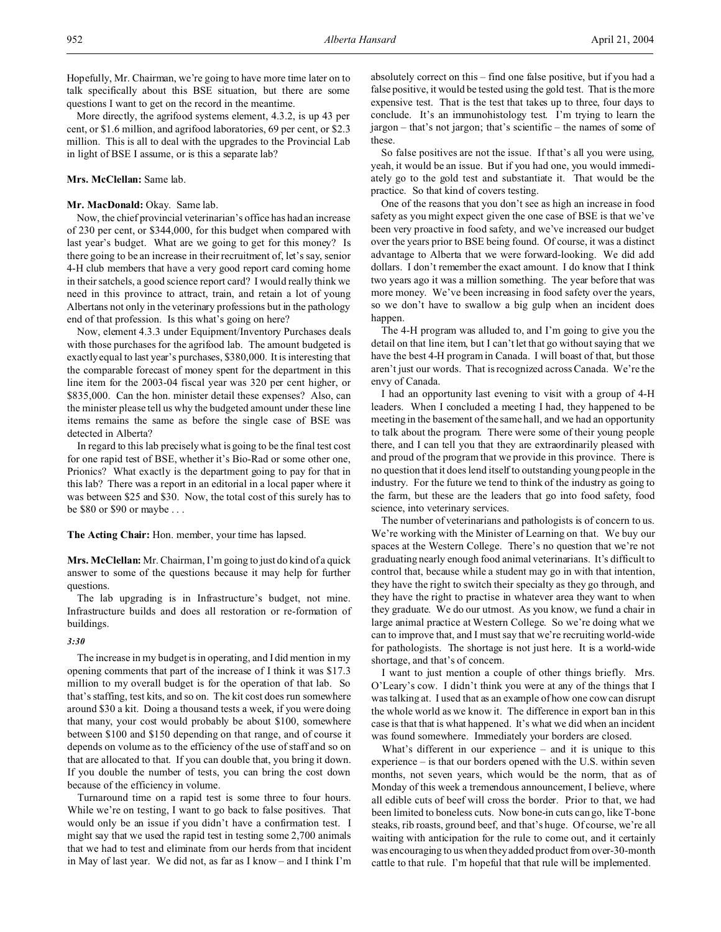Hopefully, Mr. Chairman, we're going to have more time later on to talk specifically about this BSE situation, but there are some questions I want to get on the record in the meantime.

More directly, the agrifood systems element, 4.3.2, is up 43 per cent, or \$1.6 million, and agrifood laboratories, 69 per cent, or \$2.3 million. This is all to deal with the upgrades to the Provincial Lab in light of BSE I assume, or is this a separate lab?

### **Mrs. McClellan:** Same lab.

# Mr. MacDonald: Okay. Same lab.

Now, the chief provincial veterinarian's office has had an increase of 230 per cent, or \$344,000, for this budget when compared with last year's budget. What are we going to get for this money? Is there going to be an increase in their recruitment of, let's say, senior 4-H club members that have a very good report card coming home in their satchels, a good science report card? I would really think we need in this province to attract, train, and retain a lot of young Albertans not only in the veterinary professions but in the pathology end of that profession. Is this what's going on here?

Now, element 4.3.3 under Equipment/Inventory Purchases deals with those purchases for the agrifood lab. The amount budgeted is exactly equal to last year's purchases, \$380,000. It is interesting that the comparable forecast of money spent for the department in this line item for the 2003-04 fiscal year was 320 per cent higher, or \$835,000. Can the hon. minister detail these expenses? Also, can the minister please tell us why the budgeted amount under these line items remains the same as before the single case of BSE was detected in Alberta?

In regard to this lab precisely what is going to be the final test cost for one rapid test of BSE, whether it's Bio-Rad or some other one, Prionics? What exactly is the department going to pay for that in this lab? There was a report in an editorial in a local paper where it was between \$25 and \$30. Now, the total cost of this surely has to be \$80 or \$90 or maybe . . .

**The Acting Chair:** Hon. member, your time has lapsed.

**Mrs. McClellan:** Mr. Chairman, I'm going to just do kind of a quick answer to some of the questions because it may help for further questions.

The lab upgrading is in Infrastructure's budget, not mine. Infrastructure builds and does all restoration or re-formation of buildings.

# *3:30*

The increase in my budget is in operating, and I did mention in my opening comments that part of the increase of I think it was \$17.3 million to my overall budget is for the operation of that lab. So that's staffing, test kits, and so on. The kit cost does run somewhere around \$30 a kit. Doing a thousand tests a week, if you were doing that many, your cost would probably be about \$100, somewhere between \$100 and \$150 depending on that range, and of course it depends on volume as to the efficiency of the use of staff and so on that are allocated to that. If you can double that, you bring it down. If you double the number of tests, you can bring the cost down because of the efficiency in volume.

Turnaround time on a rapid test is some three to four hours. While we're on testing, I want to go back to false positives. That would only be an issue if you didn't have a confirmation test. I might say that we used the rapid test in testing some 2,700 animals that we had to test and eliminate from our herds from that incident in May of last year. We did not, as far as I know – and I think I'm

absolutely correct on this – find one false positive, but if you had a false positive, it would be tested using the gold test. That is the more expensive test. That is the test that takes up to three, four days to conclude. It's an immunohistology test. I'm trying to learn the jargon – that's not jargon; that's scientific – the names of some of these.

So false positives are not the issue. If that's all you were using, yeah, it would be an issue. But if you had one, you would immediately go to the gold test and substantiate it. That would be the practice. So that kind of covers testing.

One of the reasons that you don't see as high an increase in food safety as you might expect given the one case of BSE is that we've been very proactive in food safety, and we've increased our budget over the years prior to BSE being found. Of course, it was a distinct advantage to Alberta that we were forward-looking. We did add dollars. I don't remember the exact amount. I do know that I think two years ago it was a million something. The year before that was more money. We've been increasing in food safety over the years, so we don't have to swallow a big gulp when an incident does happen.

The 4-H program was alluded to, and I'm going to give you the detail on that line item, but I can't let that go without saying that we have the best 4-H program in Canada. I will boast of that, but those aren't just our words. That is recognized across Canada. We're the envy of Canada.

I had an opportunity last evening to visit with a group of 4-H leaders. When I concluded a meeting I had, they happened to be meeting in the basement of the same hall, and we had an opportunity to talk about the program. There were some of their young people there, and I can tell you that they are extraordinarily pleased with and proud of the program that we provide in this province. There is no question that it does lend itself to outstanding young people in the industry. For the future we tend to think of the industry as going to the farm, but these are the leaders that go into food safety, food science, into veterinary services.

The number of veterinarians and pathologists is of concern to us. We're working with the Minister of Learning on that. We buy our spaces at the Western College. There's no question that we're not graduating nearly enough food animal veterinarians. It's difficult to control that, because while a student may go in with that intention, they have the right to switch their specialty as they go through, and they have the right to practise in whatever area they want to when they graduate. We do our utmost. As you know, we fund a chair in large animal practice at Western College. So we're doing what we can to improve that, and I must say that we're recruiting world-wide for pathologists. The shortage is not just here. It is a world-wide shortage, and that's of concern.

I want to just mention a couple of other things briefly. Mrs. O'Leary's cow. I didn't think you were at any of the things that I was talking at. I used that as an example of how one cow can disrupt the whole world as we know it. The difference in export ban in this case is that that is what happened. It's what we did when an incident was found somewhere. Immediately your borders are closed.

What's different in our experience – and it is unique to this experience – is that our borders opened with the U.S. within seven months, not seven years, which would be the norm, that as of Monday of this week a tremendous announcement, I believe, where all edible cuts of beef will cross the border. Prior to that, we had been limited to boneless cuts. Now bone-in cuts can go, like T-bone steaks, rib roasts, ground beef, and that's huge. Of course, we're all waiting with anticipation for the rule to come out, and it certainly was encouraging to us when they added product from over-30-month cattle to that rule. I'm hopeful that that rule will be implemented.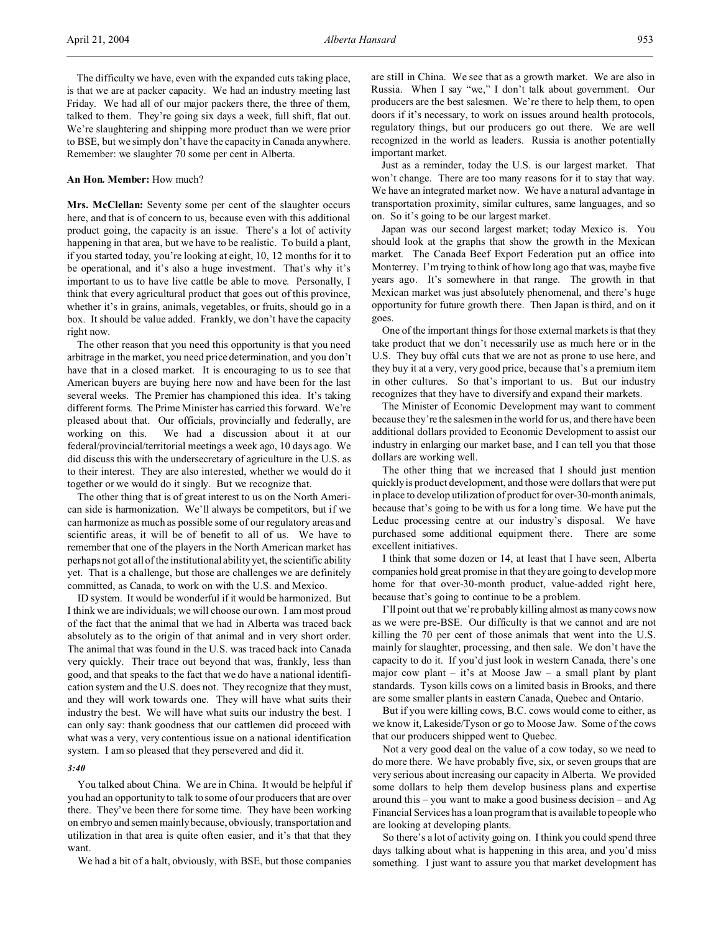The difficulty we have, even with the expanded cuts taking place, is that we are at packer capacity. We had an industry meeting last Friday. We had all of our major packers there, the three of them, talked to them. They're going six days a week, full shift, flat out. We're slaughtering and shipping more product than we were prior to BSE, but we simply don't have the capacity in Canada anywhere. Remember: we slaughter 70 some per cent in Alberta.

## **An Hon. Member:** How much?

**Mrs. McClellan:** Seventy some per cent of the slaughter occurs here, and that is of concern to us, because even with this additional product going, the capacity is an issue. There's a lot of activity happening in that area, but we have to be realistic. To build a plant, if you started today, you're looking at eight, 10, 12 months for it to be operational, and it's also a huge investment. That's why it's important to us to have live cattle be able to move. Personally, I think that every agricultural product that goes out of this province, whether it's in grains, animals, vegetables, or fruits, should go in a box. It should be value added. Frankly, we don't have the capacity right now.

The other reason that you need this opportunity is that you need arbitrage in the market, you need price determination, and you don't have that in a closed market. It is encouraging to us to see that American buyers are buying here now and have been for the last several weeks. The Premier has championed this idea. It's taking different forms. The Prime Minister has carried this forward. We're pleased about that. Our officials, provincially and federally, are working on this. We had a discussion about it at our federal/provincial/territorial meetings a week ago, 10 days ago. We did discuss this with the undersecretary of agriculture in the U.S. as to their interest. They are also interested, whether we would do it together or we would do it singly. But we recognize that.

The other thing that is of great interest to us on the North American side is harmonization. We'll always be competitors, but if we can harmonize as much as possible some of our regulatory areas and scientific areas, it will be of benefit to all of us. We have to remember that one of the players in the North American market has perhaps not got all of the institutional ability yet, the scientific ability yet. That is a challenge, but those are challenges we are definitely committed, as Canada, to work on with the U.S. and Mexico.

ID system. It would be wonderful if it would be harmonized. But I think we are individuals; we will choose our own. I am most proud of the fact that the animal that we had in Alberta was traced back absolutely as to the origin of that animal and in very short order. The animal that was found in the U.S. was traced back into Canada very quickly. Their trace out beyond that was, frankly, less than good, and that speaks to the fact that we do have a national identification system and the U.S. does not. They recognize that they must, and they will work towards one. They will have what suits their industry the best. We will have what suits our industry the best. I can only say: thank goodness that our cattlemen did proceed with what was a very, very contentious issue on a national identification system. I am so pleased that they persevered and did it.

### *3:40*

You talked about China. We are in China. It would be helpful if you had an opportunity to talk to some of our producers that are over there. They've been there for some time. They have been working on embryo and semen mainly because, obviously, transportation and utilization in that area is quite often easier, and it's that that they want.

We had a bit of a halt, obviously, with BSE, but those companies

are still in China. We see that as a growth market. We are also in Russia. When I say "we," I don't talk about government. Our producers are the best salesmen. We're there to help them, to open doors if it's necessary, to work on issues around health protocols, regulatory things, but our producers go out there. We are well recognized in the world as leaders. Russia is another potentially important market.

Just as a reminder, today the U.S. is our largest market. That won't change. There are too many reasons for it to stay that way. We have an integrated market now. We have a natural advantage in transportation proximity, similar cultures, same languages, and so on. So it's going to be our largest market.

Japan was our second largest market; today Mexico is. You should look at the graphs that show the growth in the Mexican market. The Canada Beef Export Federation put an office into Monterrey. I'm trying to think of how long ago that was, maybe five years ago. It's somewhere in that range. The growth in that Mexican market was just absolutely phenomenal, and there's huge opportunity for future growth there. Then Japan is third, and on it goes.

One of the important things for those external markets is that they take product that we don't necessarily use as much here or in the U.S. They buy offal cuts that we are not as prone to use here, and they buy it at a very, very good price, because that's a premium item in other cultures. So that's important to us. But our industry recognizes that they have to diversify and expand their markets.

The Minister of Economic Development may want to comment because they're the salesmen in the world for us, and there have been additional dollars provided to Economic Development to assist our industry in enlarging our market base, and I can tell you that those dollars are working well.

The other thing that we increased that I should just mention quickly is product development, and those were dollars that were put in place to develop utilization of product for over-30-month animals, because that's going to be with us for a long time. We have put the Leduc processing centre at our industry's disposal. We have purchased some additional equipment there. There are some excellent initiatives.

I think that some dozen or 14, at least that I have seen, Alberta companies hold great promise in that they are going to develop more home for that over-30-month product, value-added right here, because that's going to continue to be a problem.

I'll point out that we're probably killing almost as many cows now as we were pre-BSE. Our difficulty is that we cannot and are not killing the 70 per cent of those animals that went into the U.S. mainly for slaughter, processing, and then sale. We don't have the capacity to do it. If you'd just look in western Canada, there's one major cow plant – it's at Moose Jaw – a small plant by plant standards. Tyson kills cows on a limited basis in Brooks, and there are some smaller plants in eastern Canada, Quebec and Ontario.

But if you were killing cows, B.C. cows would come to either, as we know it, Lakeside/Tyson or go to Moose Jaw. Some of the cows that our producers shipped went to Quebec.

Not a very good deal on the value of a cow today, so we need to do more there. We have probably five, six, or seven groups that are very serious about increasing our capacity in Alberta. We provided some dollars to help them develop business plans and expertise around this – you want to make a good business decision – and Ag Financial Services has a loan program that is available to people who are looking at developing plants.

So there's a lot of activity going on. I think you could spend three days talking about what is happening in this area, and you'd miss something. I just want to assure you that market development has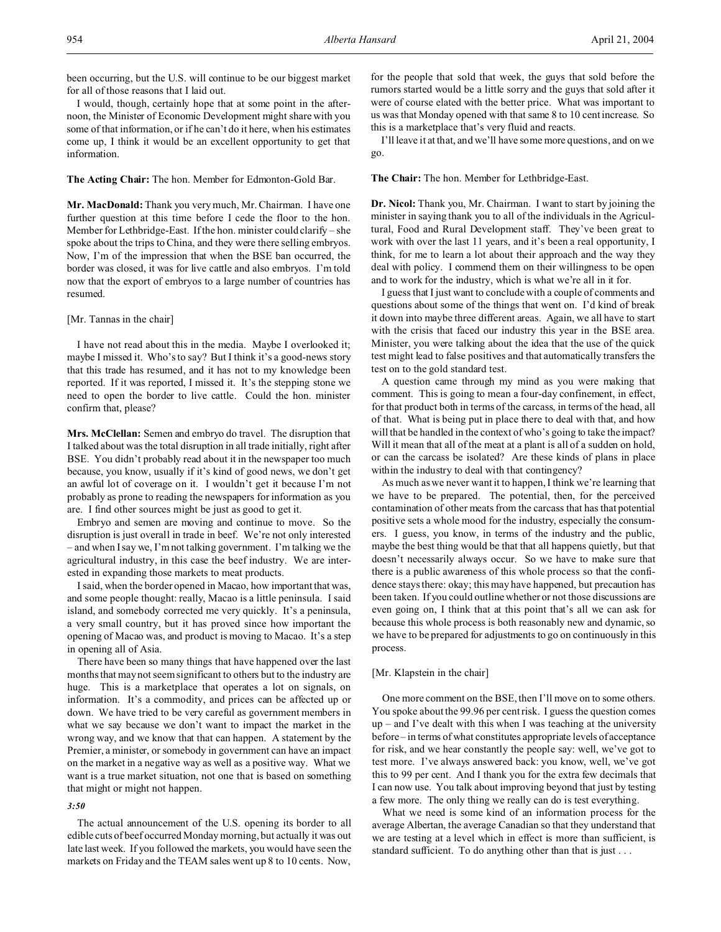been occurring, but the U.S. will continue to be our biggest market for all of those reasons that I laid out.

I would, though, certainly hope that at some point in the afternoon, the Minister of Economic Development might share with you some of that information, or if he can't do it here, when his estimates come up, I think it would be an excellent opportunity to get that information.

**The Acting Chair:** The hon. Member for Edmonton-Gold Bar.

**Mr. MacDonald:** Thank you very much, Mr. Chairman. I have one further question at this time before I cede the floor to the hon. Member for Lethbridge-East. If the hon. minister could clarify – she spoke about the trips to China, and they were there selling embryos. Now, I'm of the impression that when the BSE ban occurred, the border was closed, it was for live cattle and also embryos. I'm told now that the export of embryos to a large number of countries has resumed.

[Mr. Tannas in the chair]

I have not read about this in the media. Maybe I overlooked it; maybe I missed it. Who's to say? But I think it's a good-news story that this trade has resumed, and it has not to my knowledge been reported. If it was reported, I missed it. It's the stepping stone we need to open the border to live cattle. Could the hon. minister confirm that, please?

**Mrs. McClellan:** Semen and embryo do travel. The disruption that I talked about was the total disruption in all trade initially, right after BSE. You didn't probably read about it in the newspaper too much because, you know, usually if it's kind of good news, we don't get an awful lot of coverage on it. I wouldn't get it because I'm not probably as prone to reading the newspapers for information as you are. I find other sources might be just as good to get it.

Embryo and semen are moving and continue to move. So the disruption is just overall in trade in beef. We're not only interested – and when I say we, I'm not talking government. I'm talking we the agricultural industry, in this case the beef industry. We are interested in expanding those markets to meat products.

I said, when the border opened in Macao, how important that was, and some people thought: really, Macao is a little peninsula. I said island, and somebody corrected me very quickly. It's a peninsula, a very small country, but it has proved since how important the opening of Macao was, and product is moving to Macao. It's a step in opening all of Asia.

There have been so many things that have happened over the last months that may not seem significant to others but to the industry are huge. This is a marketplace that operates a lot on signals, on information. It's a commodity, and prices can be affected up or down. We have tried to be very careful as government members in what we say because we don't want to impact the market in the wrong way, and we know that that can happen. A statement by the Premier, a minister, or somebody in government can have an impact on the market in a negative way as well as a positive way. What we want is a true market situation, not one that is based on something that might or might not happen.

# *3:50*

The actual announcement of the U.S. opening its border to all edible cuts of beef occurred Monday morning, but actually it was out late last week. If you followed the markets, you would have seen the markets on Friday and the TEAM sales went up 8 to 10 cents. Now,

for the people that sold that week, the guys that sold before the rumors started would be a little sorry and the guys that sold after it were of course elated with the better price. What was important to us was that Monday opened with that same 8 to 10 cent increase. So this is a marketplace that's very fluid and reacts.

I'll leave it at that, and we'll have some more questions, and on we go.

**The Chair:** The hon. Member for Lethbridge-East.

**Dr. Nicol:** Thank you, Mr. Chairman. I want to start by joining the minister in saying thank you to all of the individuals in the Agricultural, Food and Rural Development staff. They've been great to work with over the last 11 years, and it's been a real opportunity, I think, for me to learn a lot about their approach and the way they deal with policy. I commend them on their willingness to be open and to work for the industry, which is what we're all in it for.

I guess that I just want to conclude with a couple of comments and questions about some of the things that went on. I'd kind of break it down into maybe three different areas. Again, we all have to start with the crisis that faced our industry this year in the BSE area. Minister, you were talking about the idea that the use of the quick test might lead to false positives and that automatically transfers the test on to the gold standard test.

A question came through my mind as you were making that comment. This is going to mean a four-day confinement, in effect, for that product both in terms of the carcass, in terms of the head, all of that. What is being put in place there to deal with that, and how will that be handled in the context of who's going to take the impact? Will it mean that all of the meat at a plant is all of a sudden on hold, or can the carcass be isolated? Are these kinds of plans in place within the industry to deal with that contingency?

As much as we never want it to happen, I think we're learning that we have to be prepared. The potential, then, for the perceived contamination of other meats from the carcass that has that potential positive sets a whole mood for the industry, especially the consumers. I guess, you know, in terms of the industry and the public, maybe the best thing would be that that all happens quietly, but that doesn't necessarily always occur. So we have to make sure that there is a public awareness of this whole process so that the confidence stays there: okay; this may have happened, but precaution has been taken. If you could outline whether or not those discussions are even going on, I think that at this point that's all we can ask for because this whole process is both reasonably new and dynamic, so we have to be prepared for adjustments to go on continuously in this process.

# [Mr. Klapstein in the chair]

One more comment on the BSE, then I'll move on to some others. You spoke about the 99.96 per cent risk. I guess the question comes  $up$  – and I've dealt with this when I was teaching at the university before – in terms of what constitutes appropriate levels of acceptance for risk, and we hear constantly the people say: well, we've got to test more. I've always answered back: you know, well, we've got this to 99 per cent. And I thank you for the extra few decimals that I can now use. You talk about improving beyond that just by testing a few more. The only thing we really can do is test everything.

What we need is some kind of an information process for the average Albertan, the average Canadian so that they understand that we are testing at a level which in effect is more than sufficient, is standard sufficient. To do anything other than that is just . . .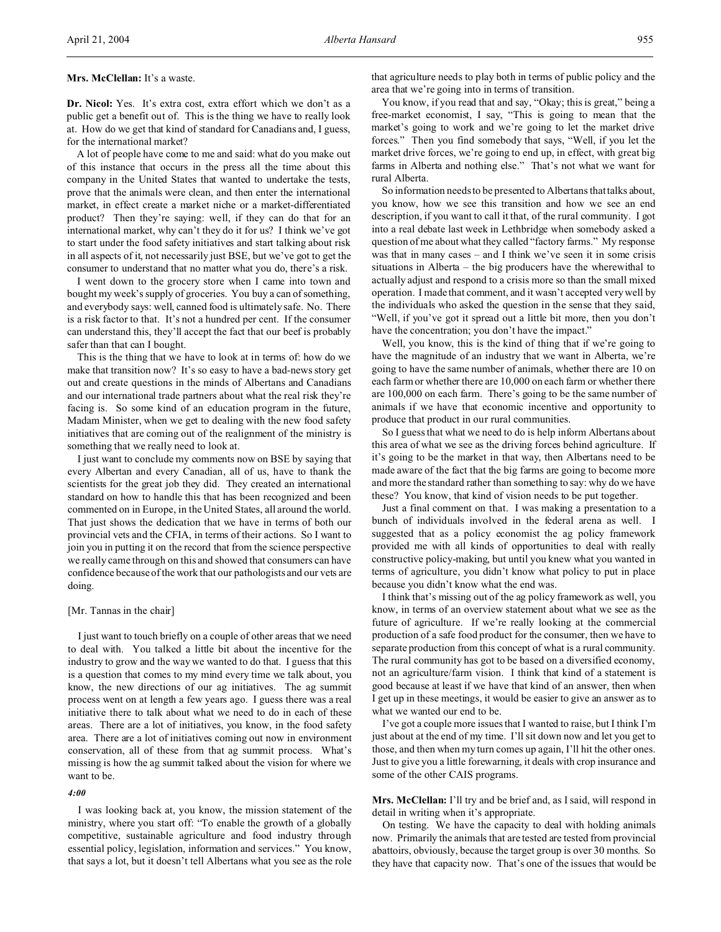## **Mrs. McClellan:** It's a waste.

**Dr. Nicol:** Yes. It's extra cost, extra effort which we don't as a public get a benefit out of. This is the thing we have to really look at. How do we get that kind of standard for Canadians and, I guess, for the international market?

A lot of people have come to me and said: what do you make out of this instance that occurs in the press all the time about this company in the United States that wanted to undertake the tests, prove that the animals were clean, and then enter the international market, in effect create a market niche or a market-differentiated product? Then they're saying: well, if they can do that for an international market, why can't they do it for us? I think we've got to start under the food safety initiatives and start talking about risk in all aspects of it, not necessarily just BSE, but we've got to get the consumer to understand that no matter what you do, there's a risk.

I went down to the grocery store when I came into town and bought my week's supply of groceries. You buy a can of something, and everybody says: well, canned food is ultimately safe. No. There is a risk factor to that. It's not a hundred per cent. If the consumer can understand this, they'll accept the fact that our beef is probably safer than that can I bought.

This is the thing that we have to look at in terms of: how do we make that transition now? It's so easy to have a bad-news story get out and create questions in the minds of Albertans and Canadians and our international trade partners about what the real risk they're facing is. So some kind of an education program in the future, Madam Minister, when we get to dealing with the new food safety initiatives that are coming out of the realignment of the ministry is something that we really need to look at.

I just want to conclude my comments now on BSE by saying that every Albertan and every Canadian, all of us, have to thank the scientists for the great job they did. They created an international standard on how to handle this that has been recognized and been commented on in Europe, in the United States, all around the world. That just shows the dedication that we have in terms of both our provincial vets and the CFIA, in terms of their actions. So I want to join you in putting it on the record that from the science perspective we really came through on this and showed that consumers can have confidence because of the work that our pathologists and our vets are doing.

#### [Mr. Tannas in the chair]

I just want to touch briefly on a couple of other areas that we need to deal with. You talked a little bit about the incentive for the industry to grow and the way we wanted to do that. I guess that this is a question that comes to my mind every time we talk about, you know, the new directions of our ag initiatives. The ag summit process went on at length a few years ago. I guess there was a real initiative there to talk about what we need to do in each of these areas. There are a lot of initiatives, you know, in the food safety area. There are a lot of initiatives coming out now in environment conservation, all of these from that ag summit process. What's missing is how the ag summit talked about the vision for where we want to be.

#### *4:00*

I was looking back at, you know, the mission statement of the ministry, where you start off: "To enable the growth of a globally competitive, sustainable agriculture and food industry through essential policy, legislation, information and services." You know, that says a lot, but it doesn't tell Albertans what you see as the role

that agriculture needs to play both in terms of public policy and the area that we're going into in terms of transition.

You know, if you read that and say, "Okay; this is great," being a free-market economist, I say, "This is going to mean that the market's going to work and we're going to let the market drive forces." Then you find somebody that says, "Well, if you let the market drive forces, we're going to end up, in effect, with great big farms in Alberta and nothing else." That's not what we want for rural Alberta.

So information needs to be presented to Albertans that talks about, you know, how we see this transition and how we see an end description, if you want to call it that, of the rural community. I got into a real debate last week in Lethbridge when somebody asked a question of me about what they called "factory farms." My response was that in many cases – and I think we've seen it in some crisis situations in Alberta – the big producers have the wherewithal to actually adjust and respond to a crisis more so than the small mixed operation. I made that comment, and it wasn't accepted very well by the individuals who asked the question in the sense that they said, "Well, if you've got it spread out a little bit more, then you don't have the concentration; you don't have the impact."

Well, you know, this is the kind of thing that if we're going to have the magnitude of an industry that we want in Alberta, we're going to have the same number of animals, whether there are 10 on each farm or whether there are 10,000 on each farm or whether there are 100,000 on each farm. There's going to be the same number of animals if we have that economic incentive and opportunity to produce that product in our rural communities.

So I guess that what we need to do is help inform Albertans about this area of what we see as the driving forces behind agriculture. If it's going to be the market in that way, then Albertans need to be made aware of the fact that the big farms are going to become more and more the standard rather than something to say: why do we have these? You know, that kind of vision needs to be put together.

Just a final comment on that. I was making a presentation to a bunch of individuals involved in the federal arena as well. I suggested that as a policy economist the ag policy framework provided me with all kinds of opportunities to deal with really constructive policy-making, but until you knew what you wanted in terms of agriculture, you didn't know what policy to put in place because you didn't know what the end was.

I think that's missing out of the ag policy framework as well, you know, in terms of an overview statement about what we see as the future of agriculture. If we're really looking at the commercial production of a safe food product for the consumer, then we have to separate production from this concept of what is a rural community. The rural community has got to be based on a diversified economy, not an agriculture/farm vision. I think that kind of a statement is good because at least if we have that kind of an answer, then when I get up in these meetings, it would be easier to give an answer as to what we wanted our end to be.

I've got a couple more issues that I wanted to raise, but I think I'm just about at the end of my time. I'll sit down now and let you get to those, and then when my turn comes up again, I'll hit the other ones. Just to give you a little forewarning, it deals with crop insurance and some of the other CAIS programs.

**Mrs. McClellan:** I'll try and be brief and, as I said, will respond in detail in writing when it's appropriate.

On testing. We have the capacity to deal with holding animals now. Primarily the animals that are tested are tested from provincial abattoirs, obviously, because the target group is over 30 months. So they have that capacity now. That's one of the issues that would be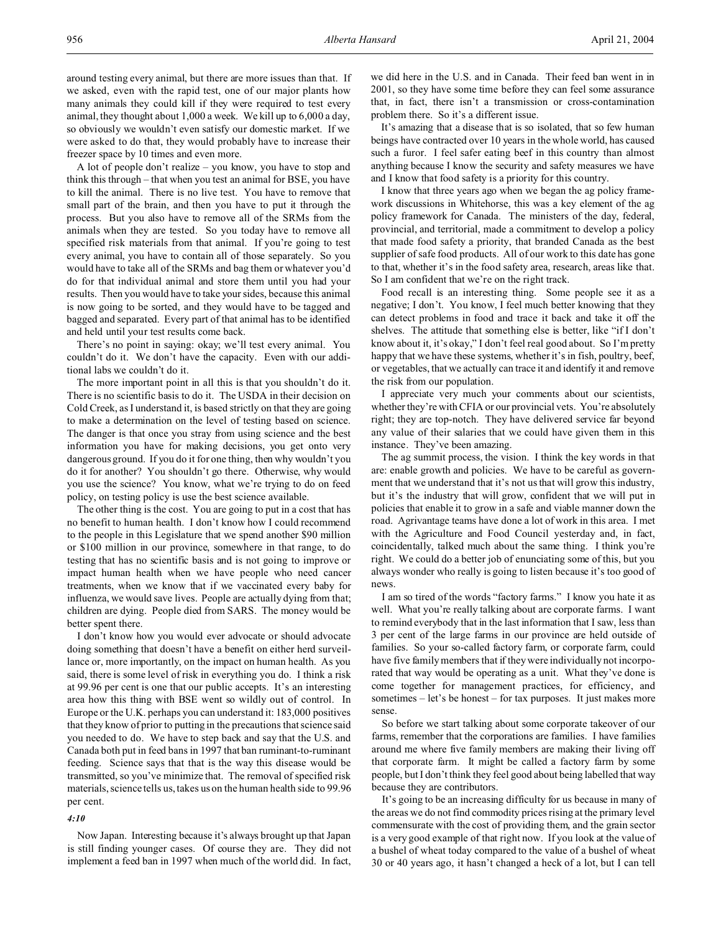around testing every animal, but there are more issues than that. If we asked, even with the rapid test, one of our major plants how many animals they could kill if they were required to test every animal, they thought about 1,000 a week. We kill up to 6,000 a day, so obviously we wouldn't even satisfy our domestic market. If we were asked to do that, they would probably have to increase their freezer space by 10 times and even more.

A lot of people don't realize – you know, you have to stop and think this through – that when you test an animal for BSE, you have to kill the animal. There is no live test. You have to remove that small part of the brain, and then you have to put it through the process. But you also have to remove all of the SRMs from the animals when they are tested. So you today have to remove all specified risk materials from that animal. If you're going to test every animal, you have to contain all of those separately. So you would have to take all of the SRMs and bag them or whatever you'd do for that individual animal and store them until you had your results. Then you would have to take your sides, because this animal is now going to be sorted, and they would have to be tagged and bagged and separated. Every part of that animal has to be identified and held until your test results come back.

There's no point in saying: okay; we'll test every animal. You couldn't do it. We don't have the capacity. Even with our additional labs we couldn't do it.

The more important point in all this is that you shouldn't do it. There is no scientific basis to do it. The USDA in their decision on Cold Creek, as I understand it, is based strictly on that they are going to make a determination on the level of testing based on science. The danger is that once you stray from using science and the best information you have for making decisions, you get onto very dangerous ground. If you do it for one thing, then why wouldn't you do it for another? You shouldn't go there. Otherwise, why would you use the science? You know, what we're trying to do on feed policy, on testing policy is use the best science available.

The other thing is the cost. You are going to put in a cost that has no benefit to human health. I don't know how I could recommend to the people in this Legislature that we spend another \$90 million or \$100 million in our province, somewhere in that range, to do testing that has no scientific basis and is not going to improve or impact human health when we have people who need cancer treatments, when we know that if we vaccinated every baby for influenza, we would save lives. People are actually dying from that; children are dying. People died from SARS. The money would be better spent there.

I don't know how you would ever advocate or should advocate doing something that doesn't have a benefit on either herd surveillance or, more importantly, on the impact on human health. As you said, there is some level of risk in everything you do. I think a risk at 99.96 per cent is one that our public accepts. It's an interesting area how this thing with BSE went so wildly out of control. In Europe or the U.K. perhaps you can understand it: 183,000 positives that they know of prior to putting in the precautions that science said you needed to do. We have to step back and say that the U.S. and Canada both put in feed bans in 1997 that ban ruminant-to-ruminant feeding. Science says that that is the way this disease would be transmitted, so you've minimize that. The removal of specified risk materials, science tells us, takes us on the human health side to 99.96 per cent.

#### *4:10*

Now Japan. Interesting because it's always brought up that Japan is still finding younger cases. Of course they are. They did not implement a feed ban in 1997 when much of the world did. In fact, we did here in the U.S. and in Canada. Their feed ban went in in 2001, so they have some time before they can feel some assurance that, in fact, there isn't a transmission or cross-contamination problem there. So it's a different issue.

It's amazing that a disease that is so isolated, that so few human beings have contracted over 10 years in the whole world, has caused such a furor. I feel safer eating beef in this country than almost anything because I know the security and safety measures we have and I know that food safety is a priority for this country.

I know that three years ago when we began the ag policy framework discussions in Whitehorse, this was a key element of the ag policy framework for Canada. The ministers of the day, federal, provincial, and territorial, made a commitment to develop a policy that made food safety a priority, that branded Canada as the best supplier of safe food products. All of our work to this date has gone to that, whether it's in the food safety area, research, areas like that. So I am confident that we're on the right track.

Food recall is an interesting thing. Some people see it as a negative; I don't. You know, I feel much better knowing that they can detect problems in food and trace it back and take it off the shelves. The attitude that something else is better, like "if I don't know about it, it's okay," I don't feel real good about. So I'm pretty happy that we have these systems, whether it's in fish, poultry, beef, or vegetables, that we actually can trace it and identify it and remove the risk from our population.

I appreciate very much your comments about our scientists, whether they're with CFIA or our provincial vets. You're absolutely right; they are top-notch. They have delivered service far beyond any value of their salaries that we could have given them in this instance. They've been amazing.

The ag summit process, the vision. I think the key words in that are: enable growth and policies. We have to be careful as government that we understand that it's not us that will grow this industry, but it's the industry that will grow, confident that we will put in policies that enable it to grow in a safe and viable manner down the road. Agrivantage teams have done a lot of work in this area. I met with the Agriculture and Food Council yesterday and, in fact, coincidentally, talked much about the same thing. I think you're right. We could do a better job of enunciating some of this, but you always wonder who really is going to listen because it's too good of news.

I am so tired of the words "factory farms." I know you hate it as well. What you're really talking about are corporate farms. I want to remind everybody that in the last information that I saw, less than 3 per cent of the large farms in our province are held outside of families. So your so-called factory farm, or corporate farm, could have five family members that if they were individually not incorporated that way would be operating as a unit. What they've done is come together for management practices, for efficiency, and sometimes – let's be honest – for tax purposes. It just makes more sense.

So before we start talking about some corporate takeover of our farms, remember that the corporations are families. I have families around me where five family members are making their living off that corporate farm. It might be called a factory farm by some people, but I don't think they feel good about being labelled that way because they are contributors.

It's going to be an increasing difficulty for us because in many of the areas we do not find commodity prices rising at the primary level commensurate with the cost of providing them, and the grain sector is a very good example of that right now. If you look at the value of a bushel of wheat today compared to the value of a bushel of wheat 30 or 40 years ago, it hasn't changed a heck of a lot, but I can tell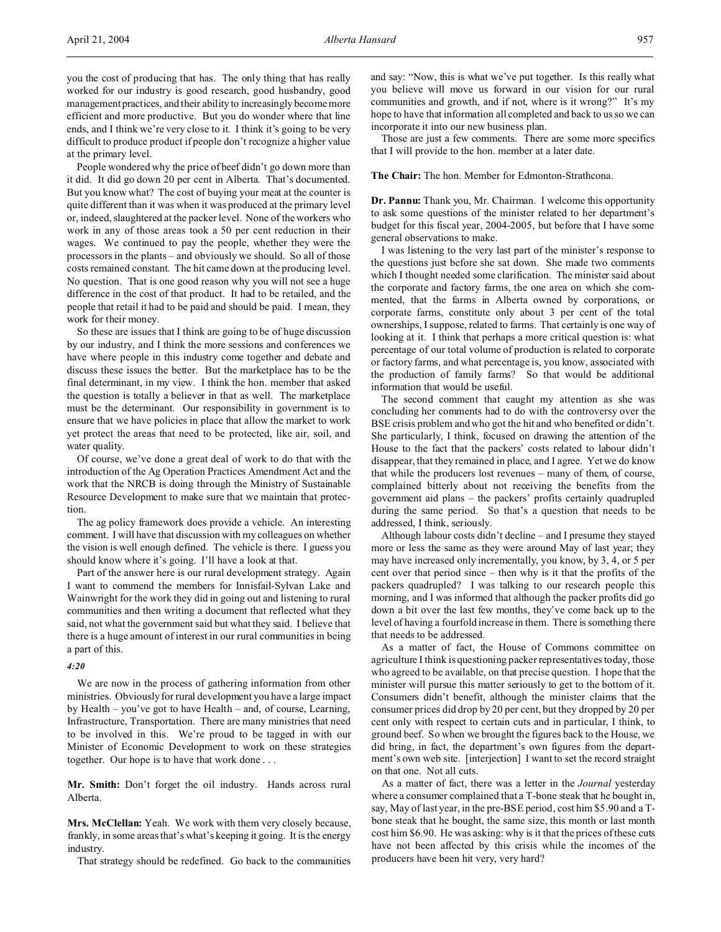you the cost of producing that has. The only thing that has really worked for our industry is good research, good husbandry, good management practices, and their ability to increasingly become more efficient and more productive. But you do wonder where that line ends, and I think we're very close to it. I think it's going to be very difficult to produce product if people don't recognize a higher value at the primary level.

People wondered why the price of beef didn't go down more than it did. It did go down 20 per cent in Alberta. That's documented. But you know what? The cost of buying your meat at the counter is quite different than it was when it was produced at the primary level or, indeed, slaughtered at the packer level. None of the workers who work in any of those areas took a 50 per cent reduction in their wages. We continued to pay the people, whether they were the processors in the plants – and obviously we should. So all of those costs remained constant. The hit came down at the producing level. No question. That is one good reason why you will not see a huge difference in the cost of that product. It had to be retailed, and the people that retail it had to be paid and should be paid. I mean, they work for their money.

So these are issues that I think are going to be of huge discussion by our industry, and I think the more sessions and conferences we have where people in this industry come together and debate and discuss these issues the better. But the marketplace has to be the final determinant, in my view. I think the hon. member that asked the question is totally a believer in that as well. The marketplace must be the determinant. Our responsibility in government is to ensure that we have policies in place that allow the market to work yet protect the areas that need to be protected, like air, soil, and water quality.

Of course, we've done a great deal of work to do that with the introduction of the Ag Operation Practices Amendment Act and the work that the NRCB is doing through the Ministry of Sustainable Resource Development to make sure that we maintain that protection.

The ag policy framework does provide a vehicle. An interesting comment. I will have that discussion with my colleagues on whether the vision is well enough defined. The vehicle is there. I guess you should know where it's going. I'll have a look at that.

Part of the answer here is our rural development strategy. Again I want to commend the members for Innisfail-Sylvan Lake and Wainwright for the work they did in going out and listening to rural communities and then writing a document that reflected what they said, not what the government said but what they said. I believe that there is a huge amount of interest in our rural communities in being a part of this.

#### *4:20*

We are now in the process of gathering information from other ministries. Obviously for rural development you have a large impact by Health – you've got to have Health – and, of course, Learning, Infrastructure, Transportation. There are many ministries that need to be involved in this. We're proud to be tagged in with our Minister of Economic Development to work on these strategies together. Our hope is to have that work done . . .

**Mr. Smith:** Don't forget the oil industry. Hands across rural Alberta.

**Mrs. McClellan:** Yeah. We work with them very closely because, frankly, in some areas that's what's keeping it going. It is the energy industry.

That strategy should be redefined. Go back to the communities

and say: "Now, this is what we've put together. Is this really what you believe will move us forward in our vision for our rural communities and growth, and if not, where is it wrong?" It's my hope to have that information all completed and back to us so we can incorporate it into our new business plan.

Those are just a few comments. There are some more specifics that I will provide to the hon. member at a later date.

**The Chair:** The hon. Member for Edmonton-Strathcona.

**Dr. Pannu:** Thank you, Mr. Chairman. I welcome this opportunity to ask some questions of the minister related to her department's budget for this fiscal year, 2004-2005, but before that I have some general observations to make.

I was listening to the very last part of the minister's response to the questions just before she sat down. She made two comments which I thought needed some clarification. The minister said about the corporate and factory farms, the one area on which she commented, that the farms in Alberta owned by corporations, or corporate farms, constitute only about 3 per cent of the total ownerships, I suppose, related to farms. That certainly is one way of looking at it. I think that perhaps a more critical question is: what percentage of our total volume of production is related to corporate or factory farms, and what percentage is, you know, associated with the production of family farms? So that would be additional information that would be useful.

The second comment that caught my attention as she was concluding her comments had to do with the controversy over the BSE crisis problem and who got the hit and who benefited or didn't. She particularly, I think, focused on drawing the attention of the House to the fact that the packers' costs related to labour didn't disappear, that they remained in place, and I agree. Yet we do know that while the producers lost revenues – many of them, of course, complained bitterly about not receiving the benefits from the government aid plans – the packers' profits certainly quadrupled during the same period. So that's a question that needs to be addressed, I think, seriously.

Although labour costs didn't decline – and I presume they stayed more or less the same as they were around May of last year; they may have increased only incrementally, you know, by 3, 4, or 5 per cent over that period since – then why is it that the profits of the packers quadrupled? I was talking to our research people this morning, and I was informed that although the packer profits did go down a bit over the last few months, they've come back up to the level of having a fourfold increase in them. There is something there that needs to be addressed.

As a matter of fact, the House of Commons committee on agriculture I think is questioning packer representatives today, those who agreed to be available, on that precise question. I hope that the minister will pursue this matter seriously to get to the bottom of it. Consumers didn't benefit, although the minister claims that the consumer prices did drop by 20 per cent, but they dropped by 20 per cent only with respect to certain cuts and in particular, I think, to ground beef. So when we brought the figures back to the House, we did bring, in fact, the department's own figures from the department's own web site. [interjection] I want to set the record straight on that one. Not all cuts.

As a matter of fact, there was a letter in the *Journal* yesterday where a consumer complained that a T-bone steak that he bought in, say, May of last year, in the pre-BSE period, cost him \$5.90 and a Tbone steak that he bought, the same size, this month or last month cost him \$6.90. He was asking: why is it that the prices of these cuts have not been affected by this crisis while the incomes of the producers have been hit very, very hard?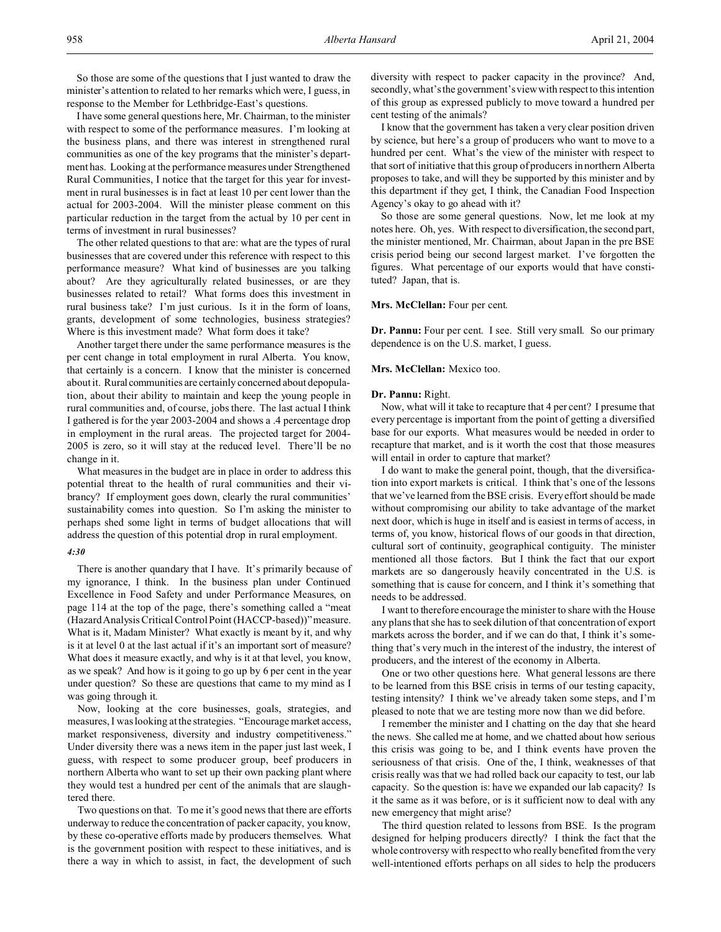So those are some of the questions that I just wanted to draw the minister's attention to related to her remarks which were, I guess, in response to the Member for Lethbridge-East's questions.

I have some general questions here, Mr. Chairman, to the minister with respect to some of the performance measures. I'm looking at the business plans, and there was interest in strengthened rural communities as one of the key programs that the minister's department has. Looking at the performance measures under Strengthened Rural Communities, I notice that the target for this year for investment in rural businesses is in fact at least 10 per cent lower than the actual for 2003-2004. Will the minister please comment on this particular reduction in the target from the actual by 10 per cent in terms of investment in rural businesses?

The other related questions to that are: what are the types of rural businesses that are covered under this reference with respect to this performance measure? What kind of businesses are you talking about? Are they agriculturally related businesses, or are they businesses related to retail? What forms does this investment in rural business take? I'm just curious. Is it in the form of loans, grants, development of some technologies, business strategies? Where is this investment made? What form does it take?

Another target there under the same performance measures is the per cent change in total employment in rural Alberta. You know, that certainly is a concern. I know that the minister is concerned about it. Rural communities are certainly concerned about depopulation, about their ability to maintain and keep the young people in rural communities and, of course, jobs there. The last actual I think I gathered is for the year 2003-2004 and shows a .4 percentage drop in employment in the rural areas. The projected target for 2004- 2005 is zero, so it will stay at the reduced level. There'll be no change in it.

What measures in the budget are in place in order to address this potential threat to the health of rural communities and their vibrancy? If employment goes down, clearly the rural communities' sustainability comes into question. So I'm asking the minister to perhaps shed some light in terms of budget allocations that will address the question of this potential drop in rural employment.

#### *4:30*

There is another quandary that I have. It's primarily because of my ignorance, I think. In the business plan under Continued Excellence in Food Safety and under Performance Measures, on page 114 at the top of the page, there's something called a "meat (Hazard Analysis Critical Control Point (HACCP-based))" measure. What is it, Madam Minister? What exactly is meant by it, and why is it at level 0 at the last actual if it's an important sort of measure? What does it measure exactly, and why is it at that level, you know, as we speak? And how is it going to go up by 6 per cent in the year under question? So these are questions that came to my mind as I was going through it.

Now, looking at the core businesses, goals, strategies, and measures, I was looking at the strategies. "Encourage market access, market responsiveness, diversity and industry competitiveness." Under diversity there was a news item in the paper just last week, I guess, with respect to some producer group, beef producers in northern Alberta who want to set up their own packing plant where they would test a hundred per cent of the animals that are slaughtered there.

Two questions on that. To me it's good news that there are efforts underway to reduce the concentration of packer capacity, you know, by these co-operative efforts made by producers themselves. What is the government position with respect to these initiatives, and is there a way in which to assist, in fact, the development of such diversity with respect to packer capacity in the province? And, secondly, what's the government's view with respect to this intention of this group as expressed publicly to move toward a hundred per cent testing of the animals?

I know that the government has taken a very clear position driven by science, but here's a group of producers who want to move to a hundred per cent. What's the view of the minister with respect to that sort of initiative that this group of producers in northern Alberta proposes to take, and will they be supported by this minister and by this department if they get, I think, the Canadian Food Inspection Agency's okay to go ahead with it?

So those are some general questions. Now, let me look at my notes here. Oh, yes. With respect to diversification, the second part, the minister mentioned, Mr. Chairman, about Japan in the pre BSE crisis period being our second largest market. I've forgotten the figures. What percentage of our exports would that have constituted? Japan, that is.

# **Mrs. McClellan:** Four per cent.

**Dr. Pannu:** Four per cent. I see. Still very small. So our primary dependence is on the U.S. market, I guess.

# **Mrs. McClellan:** Mexico too.

#### **Dr. Pannu:** Right.

Now, what will it take to recapture that 4 per cent? I presume that every percentage is important from the point of getting a diversified base for our exports. What measures would be needed in order to recapture that market, and is it worth the cost that those measures will entail in order to capture that market?

I do want to make the general point, though, that the diversification into export markets is critical. I think that's one of the lessons that we've learned from the BSE crisis. Every effort should be made without compromising our ability to take advantage of the market next door, which is huge in itself and is easiest in terms of access, in terms of, you know, historical flows of our goods in that direction, cultural sort of continuity, geographical contiguity. The minister mentioned all those factors. But I think the fact that our export markets are so dangerously heavily concentrated in the U.S. is something that is cause for concern, and I think it's something that needs to be addressed.

I want to therefore encourage the minister to share with the House any plans that she has to seek dilution of that concentration of export markets across the border, and if we can do that, I think it's something that's very much in the interest of the industry, the interest of producers, and the interest of the economy in Alberta.

One or two other questions here. What general lessons are there to be learned from this BSE crisis in terms of our testing capacity, testing intensity? I think we've already taken some steps, and I'm pleased to note that we are testing more now than we did before.

I remember the minister and I chatting on the day that she heard the news. She called me at home, and we chatted about how serious this crisis was going to be, and I think events have proven the seriousness of that crisis. One of the, I think, weaknesses of that crisis really was that we had rolled back our capacity to test, our lab capacity. So the question is: have we expanded our lab capacity? Is it the same as it was before, or is it sufficient now to deal with any new emergency that might arise?

The third question related to lessons from BSE. Is the program designed for helping producers directly? I think the fact that the whole controversy with respect to who really benefited from the very well-intentioned efforts perhaps on all sides to help the producers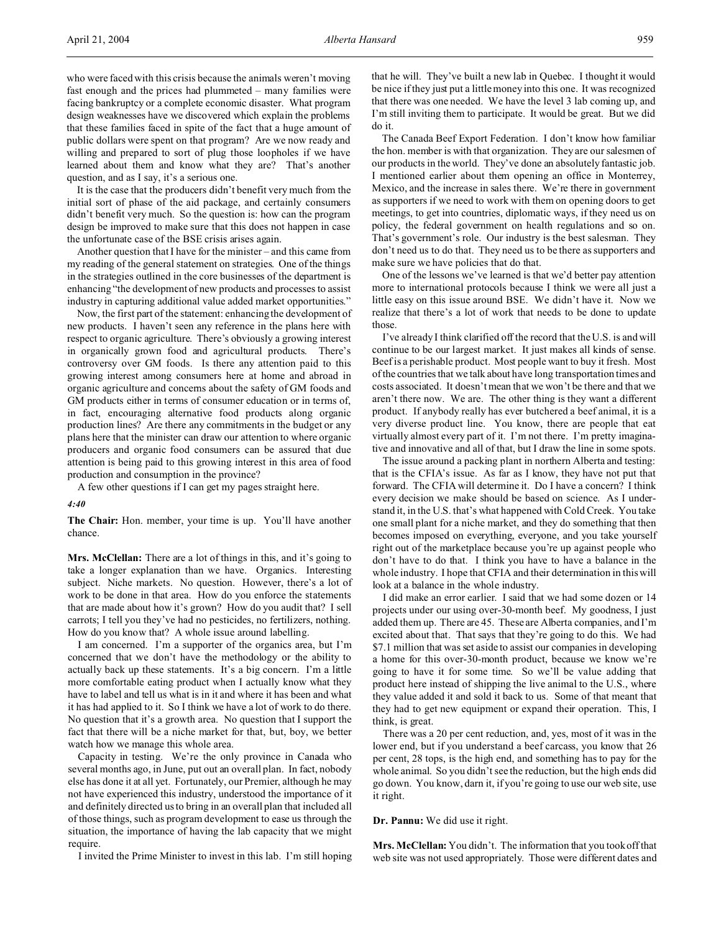who were faced with this crisis because the animals weren't moving fast enough and the prices had plummeted – many families were facing bankruptcy or a complete economic disaster. What program design weaknesses have we discovered which explain the problems that these families faced in spite of the fact that a huge amount of public dollars were spent on that program? Are we now ready and willing and prepared to sort of plug those loopholes if we have learned about them and know what they are? That's another question, and as I say, it's a serious one.

It is the case that the producers didn't benefit very much from the initial sort of phase of the aid package, and certainly consumers didn't benefit very much. So the question is: how can the program design be improved to make sure that this does not happen in case the unfortunate case of the BSE crisis arises again.

Another question that I have for the minister – and this came from my reading of the general statement on strategies. One of the things in the strategies outlined in the core businesses of the department is enhancing "the development of new products and processes to assist industry in capturing additional value added market opportunities."

Now, the first part of the statement: enhancing the development of new products. I haven't seen any reference in the plans here with respect to organic agriculture. There's obviously a growing interest in organically grown food and agricultural products. There's controversy over GM foods. Is there any attention paid to this growing interest among consumers here at home and abroad in organic agriculture and concerns about the safety of GM foods and GM products either in terms of consumer education or in terms of, in fact, encouraging alternative food products along organic production lines? Are there any commitments in the budget or any plans here that the minister can draw our attention to where organic producers and organic food consumers can be assured that due attention is being paid to this growing interest in this area of food production and consumption in the province?

A few other questions if I can get my pages straight here.

*4:40*

**The Chair:** Hon. member, your time is up. You'll have another chance.

**Mrs. McClellan:** There are a lot of things in this, and it's going to take a longer explanation than we have. Organics. Interesting subject. Niche markets. No question. However, there's a lot of work to be done in that area. How do you enforce the statements that are made about how it's grown? How do you audit that? I sell carrots; I tell you they've had no pesticides, no fertilizers, nothing. How do you know that? A whole issue around labelling.

I am concerned. I'm a supporter of the organics area, but I'm concerned that we don't have the methodology or the ability to actually back up these statements. It's a big concern. I'm a little more comfortable eating product when I actually know what they have to label and tell us what is in it and where it has been and what it has had applied to it. So I think we have a lot of work to do there. No question that it's a growth area. No question that I support the fact that there will be a niche market for that, but, boy, we better watch how we manage this whole area.

Capacity in testing. We're the only province in Canada who several months ago, in June, put out an overall plan. In fact, nobody else has done it at all yet. Fortunately, our Premier, although he may not have experienced this industry, understood the importance of it and definitely directed us to bring in an overall plan that included all of those things, such as program development to ease us through the situation, the importance of having the lab capacity that we might require.

I invited the Prime Minister to invest in this lab. I'm still hoping

that he will. They've built a new lab in Quebec. I thought it would be nice if they just put a little money into this one. It was recognized that there was one needed. We have the level 3 lab coming up, and I'm still inviting them to participate. It would be great. But we did do it.

The Canada Beef Export Federation. I don't know how familiar the hon. member is with that organization. They are our salesmen of our products in the world. They've done an absolutely fantastic job. I mentioned earlier about them opening an office in Monterrey, Mexico, and the increase in sales there. We're there in government as supporters if we need to work with them on opening doors to get meetings, to get into countries, diplomatic ways, if they need us on policy, the federal government on health regulations and so on. That's government's role. Our industry is the best salesman. They don't need us to do that. They need us to be there as supporters and make sure we have policies that do that.

One of the lessons we've learned is that we'd better pay attention more to international protocols because I think we were all just a little easy on this issue around BSE. We didn't have it. Now we realize that there's a lot of work that needs to be done to update those.

I've already I think clarified off the record that the U.S. is and will continue to be our largest market. It just makes all kinds of sense. Beef is a perishable product. Most people want to buy it fresh. Most of the countries that we talk about have long transportation times and costs associated. It doesn't mean that we won't be there and that we aren't there now. We are. The other thing is they want a different product. If anybody really has ever butchered a beef animal, it is a very diverse product line. You know, there are people that eat virtually almost every part of it. I'm not there. I'm pretty imaginative and innovative and all of that, but I draw the line in some spots.

The issue around a packing plant in northern Alberta and testing: that is the CFIA's issue. As far as I know, they have not put that forward. The CFIA will determine it. Do I have a concern? I think every decision we make should be based on science. As I understand it, in the U.S. that's what happened with Cold Creek. You take one small plant for a niche market, and they do something that then becomes imposed on everything, everyone, and you take yourself right out of the marketplace because you're up against people who don't have to do that. I think you have to have a balance in the whole industry. I hope that CFIA and their determination in this will look at a balance in the whole industry.

I did make an error earlier. I said that we had some dozen or 14 projects under our using over-30-month beef. My goodness, I just added them up. There are 45. These are Alberta companies, and I'm excited about that. That says that they're going to do this. We had \$7.1 million that was set aside to assist our companies in developing a home for this over-30-month product, because we know we're going to have it for some time. So we'll be value adding that product here instead of shipping the live animal to the U.S., where they value added it and sold it back to us. Some of that meant that they had to get new equipment or expand their operation. This, I think, is great.

There was a 20 per cent reduction, and, yes, most of it was in the lower end, but if you understand a beef carcass, you know that 26 per cent, 28 tops, is the high end, and something has to pay for the whole animal. So you didn't see the reduction, but the high ends did go down. You know, darn it, if you're going to use our web site, use it right.

**Dr. Pannu:** We did use it right.

**Mrs. McClellan:** You didn't. The information that you took off that web site was not used appropriately. Those were different dates and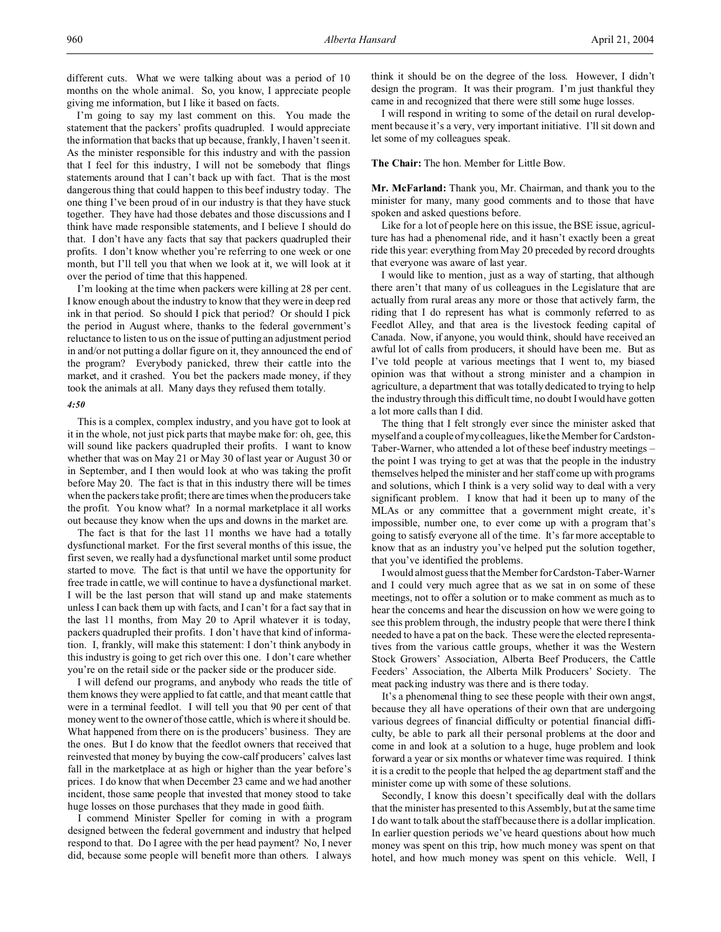different cuts. What we were talking about was a period of 10 months on the whole animal. So, you know, I appreciate people giving me information, but I like it based on facts.

I'm going to say my last comment on this. You made the statement that the packers' profits quadrupled. I would appreciate the information that backs that up because, frankly, I haven't seen it. As the minister responsible for this industry and with the passion that I feel for this industry, I will not be somebody that flings statements around that I can't back up with fact. That is the most dangerous thing that could happen to this beef industry today. The one thing I've been proud of in our industry is that they have stuck together. They have had those debates and those discussions and I think have made responsible statements, and I believe I should do that. I don't have any facts that say that packers quadrupled their profits. I don't know whether you're referring to one week or one month, but I'll tell you that when we look at it, we will look at it over the period of time that this happened.

I'm looking at the time when packers were killing at 28 per cent. I know enough about the industry to know that they were in deep red ink in that period. So should I pick that period? Or should I pick the period in August where, thanks to the federal government's reluctance to listen to us on the issue of putting an adjustment period in and/or not putting a dollar figure on it, they announced the end of the program? Everybody panicked, threw their cattle into the market, and it crashed. You bet the packers made money, if they took the animals at all. Many days they refused them totally.

#### *4:50*

This is a complex, complex industry, and you have got to look at it in the whole, not just pick parts that maybe make for: oh, gee, this will sound like packers quadrupled their profits. I want to know whether that was on May 21 or May 30 of last year or August 30 or in September, and I then would look at who was taking the profit before May 20. The fact is that in this industry there will be times when the packers take profit; there are times when the producers take the profit. You know what? In a normal marketplace it all works out because they know when the ups and downs in the market are.

The fact is that for the last 11 months we have had a totally dysfunctional market. For the first several months of this issue, the first seven, we really had a dysfunctional market until some product started to move. The fact is that until we have the opportunity for free trade in cattle, we will continue to have a dysfunctional market. I will be the last person that will stand up and make statements unless I can back them up with facts, and I can't for a fact say that in the last 11 months, from May 20 to April whatever it is today, packers quadrupled their profits. I don't have that kind of information. I, frankly, will make this statement: I don't think anybody in this industry is going to get rich over this one. I don't care whether you're on the retail side or the packer side or the producer side.

I will defend our programs, and anybody who reads the title of them knows they were applied to fat cattle, and that meant cattle that were in a terminal feedlot. I will tell you that 90 per cent of that money went to the owner of those cattle, which is where it should be. What happened from there on is the producers' business. They are the ones. But I do know that the feedlot owners that received that reinvested that money by buying the cow-calf producers' calves last fall in the marketplace at as high or higher than the year before's prices. I do know that when December 23 came and we had another incident, those same people that invested that money stood to take huge losses on those purchases that they made in good faith.

I commend Minister Speller for coming in with a program designed between the federal government and industry that helped respond to that. Do I agree with the per head payment? No, I never did, because some people will benefit more than others. I always

think it should be on the degree of the loss. However, I didn't design the program. It was their program. I'm just thankful they came in and recognized that there were still some huge losses.

I will respond in writing to some of the detail on rural development because it's a very, very important initiative. I'll sit down and let some of my colleagues speak.

**The Chair:** The hon. Member for Little Bow.

**Mr. McFarland:** Thank you, Mr. Chairman, and thank you to the minister for many, many good comments and to those that have spoken and asked questions before.

Like for a lot of people here on this issue, the BSE issue, agriculture has had a phenomenal ride, and it hasn't exactly been a great ride this year: everything from May 20 preceded by record droughts that everyone was aware of last year.

I would like to mention, just as a way of starting, that although there aren't that many of us colleagues in the Legislature that are actually from rural areas any more or those that actively farm, the riding that I do represent has what is commonly referred to as Feedlot Alley, and that area is the livestock feeding capital of Canada. Now, if anyone, you would think, should have received an awful lot of calls from producers, it should have been me. But as I've told people at various meetings that I went to, my biased opinion was that without a strong minister and a champion in agriculture, a department that was totally dedicated to trying to help the industry through this difficult time, no doubt I would have gotten a lot more calls than I did.

The thing that I felt strongly ever since the minister asked that myself and a couple of my colleagues, like the Member for Cardston-Taber-Warner, who attended a lot of these beef industry meetings – the point I was trying to get at was that the people in the industry themselves helped the minister and her staff come up with programs and solutions, which I think is a very solid way to deal with a very significant problem. I know that had it been up to many of the MLAs or any committee that a government might create, it's impossible, number one, to ever come up with a program that's going to satisfy everyone all of the time. It's far more acceptable to know that as an industry you've helped put the solution together, that you've identified the problems.

I would almost guess that the Member for Cardston-Taber-Warner and I could very much agree that as we sat in on some of these meetings, not to offer a solution or to make comment as much as to hear the concerns and hear the discussion on how we were going to see this problem through, the industry people that were there I think needed to have a pat on the back. These were the elected representatives from the various cattle groups, whether it was the Western Stock Growers' Association, Alberta Beef Producers, the Cattle Feeders' Association, the Alberta Milk Producers' Society. The meat packing industry was there and is there today.

It's a phenomenal thing to see these people with their own angst, because they all have operations of their own that are undergoing various degrees of financial difficulty or potential financial difficulty, be able to park all their personal problems at the door and come in and look at a solution to a huge, huge problem and look forward a year or six months or whatever time was required. I think it is a credit to the people that helped the ag department staff and the minister come up with some of these solutions.

Secondly, I know this doesn't specifically deal with the dollars that the minister has presented to this Assembly, but at the same time I do want to talk about the staff because there is a dollar implication. In earlier question periods we've heard questions about how much money was spent on this trip, how much money was spent on that hotel, and how much money was spent on this vehicle. Well, I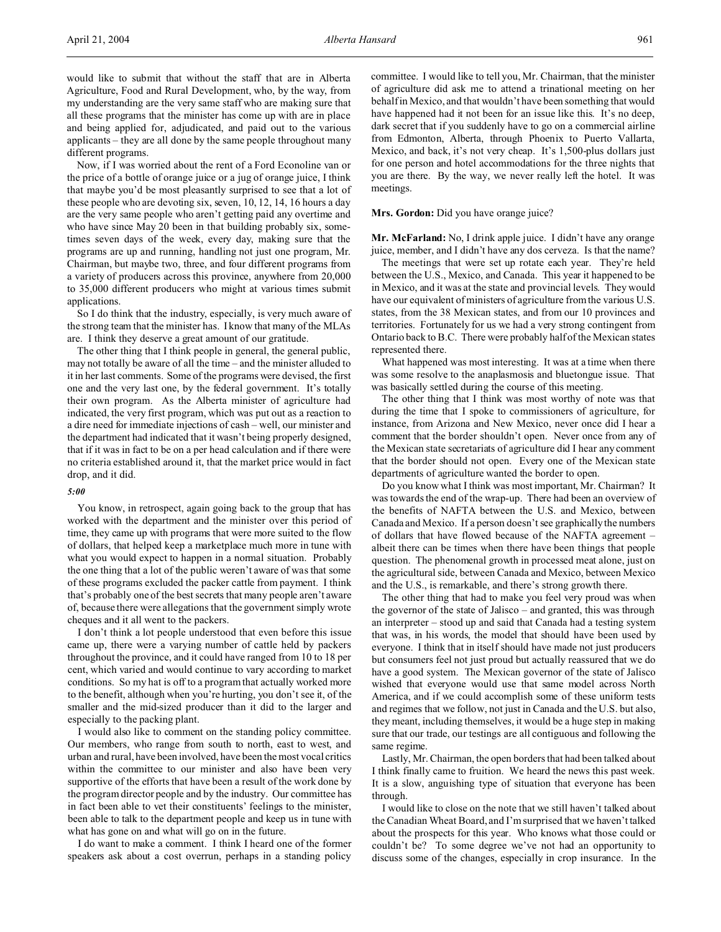Now, if I was worried about the rent of a Ford Econoline van or the price of a bottle of orange juice or a jug of orange juice, I think that maybe you'd be most pleasantly surprised to see that a lot of these people who are devoting six, seven, 10, 12, 14, 16 hours a day are the very same people who aren't getting paid any overtime and who have since May 20 been in that building probably six, sometimes seven days of the week, every day, making sure that the programs are up and running, handling not just one program, Mr. Chairman, but maybe two, three, and four different programs from a variety of producers across this province, anywhere from 20,000 to 35,000 different producers who might at various times submit applications.

So I do think that the industry, especially, is very much aware of the strong team that the minister has. I know that many of the MLAs are. I think they deserve a great amount of our gratitude.

The other thing that I think people in general, the general public, may not totally be aware of all the time – and the minister alluded to it in her last comments. Some of the programs were devised, the first one and the very last one, by the federal government. It's totally their own program. As the Alberta minister of agriculture had indicated, the very first program, which was put out as a reaction to a dire need for immediate injections of cash – well, our minister and the department had indicated that it wasn't being properly designed, that if it was in fact to be on a per head calculation and if there were no criteria established around it, that the market price would in fact drop, and it did.

# *5:00*

You know, in retrospect, again going back to the group that has worked with the department and the minister over this period of time, they came up with programs that were more suited to the flow of dollars, that helped keep a marketplace much more in tune with what you would expect to happen in a normal situation. Probably the one thing that a lot of the public weren't aware of was that some of these programs excluded the packer cattle from payment. I think that's probably one of the best secrets that many people aren't aware of, because there were allegations that the government simply wrote cheques and it all went to the packers.

I don't think a lot people understood that even before this issue came up, there were a varying number of cattle held by packers throughout the province, and it could have ranged from 10 to 18 per cent, which varied and would continue to vary according to market conditions. So my hat is off to a program that actually worked more to the benefit, although when you're hurting, you don't see it, of the smaller and the mid-sized producer than it did to the larger and especially to the packing plant.

I would also like to comment on the standing policy committee. Our members, who range from south to north, east to west, and urban and rural, have been involved, have been the most vocal critics within the committee to our minister and also have been very supportive of the efforts that have been a result of the work done by the program director people and by the industry. Our committee has in fact been able to vet their constituents' feelings to the minister, been able to talk to the department people and keep us in tune with what has gone on and what will go on in the future.

I do want to make a comment. I think I heard one of the former speakers ask about a cost overrun, perhaps in a standing policy committee. I would like to tell you, Mr. Chairman, that the minister of agriculture did ask me to attend a trinational meeting on her behalf in Mexico, and that wouldn't have been something that would have happened had it not been for an issue like this. It's no deep, dark secret that if you suddenly have to go on a commercial airline from Edmonton, Alberta, through Phoenix to Puerto Vallarta, Mexico, and back, it's not very cheap. It's 1,500-plus dollars just for one person and hotel accommodations for the three nights that you are there. By the way, we never really left the hotel. It was meetings.

#### Mrs. Gordon: Did you have orange juice?

**Mr. McFarland:** No, I drink apple juice. I didn't have any orange juice, member, and I didn't have any dos cerveza. Is that the name?

The meetings that were set up rotate each year. They're held between the U.S., Mexico, and Canada. This year it happened to be in Mexico, and it was at the state and provincial levels. They would have our equivalent of ministers of agriculture from the various U.S. states, from the 38 Mexican states, and from our 10 provinces and territories. Fortunately for us we had a very strong contingent from Ontario back to B.C. There were probably half of the Mexican states represented there.

What happened was most interesting. It was at a time when there was some resolve to the anaplasmosis and bluetongue issue. That was basically settled during the course of this meeting.

The other thing that I think was most worthy of note was that during the time that I spoke to commissioners of agriculture, for instance, from Arizona and New Mexico, never once did I hear a comment that the border shouldn't open. Never once from any of the Mexican state secretariats of agriculture did I hear any comment that the border should not open. Every one of the Mexican state departments of agriculture wanted the border to open.

Do you know what I think was most important, Mr. Chairman? It was towards the end of the wrap-up. There had been an overview of the benefits of NAFTA between the U.S. and Mexico, between Canada and Mexico. If a person doesn't see graphically the numbers of dollars that have flowed because of the NAFTA agreement – albeit there can be times when there have been things that people question. The phenomenal growth in processed meat alone, just on the agricultural side, between Canada and Mexico, between Mexico and the U.S., is remarkable, and there's strong growth there.

The other thing that had to make you feel very proud was when the governor of the state of Jalisco – and granted, this was through an interpreter – stood up and said that Canada had a testing system that was, in his words, the model that should have been used by everyone. I think that in itself should have made not just producers but consumers feel not just proud but actually reassured that we do have a good system. The Mexican governor of the state of Jalisco wished that everyone would use that same model across North America, and if we could accomplish some of these uniform tests and regimes that we follow, not just in Canada and the U.S. but also, they meant, including themselves, it would be a huge step in making sure that our trade, our testings are all contiguous and following the same regime.

Lastly, Mr. Chairman, the open borders that had been talked about I think finally came to fruition. We heard the news this past week. It is a slow, anguishing type of situation that everyone has been through.

I would like to close on the note that we still haven't talked about the Canadian Wheat Board, and I'm surprised that we haven't talked about the prospects for this year. Who knows what those could or couldn't be? To some degree we've not had an opportunity to discuss some of the changes, especially in crop insurance. In the